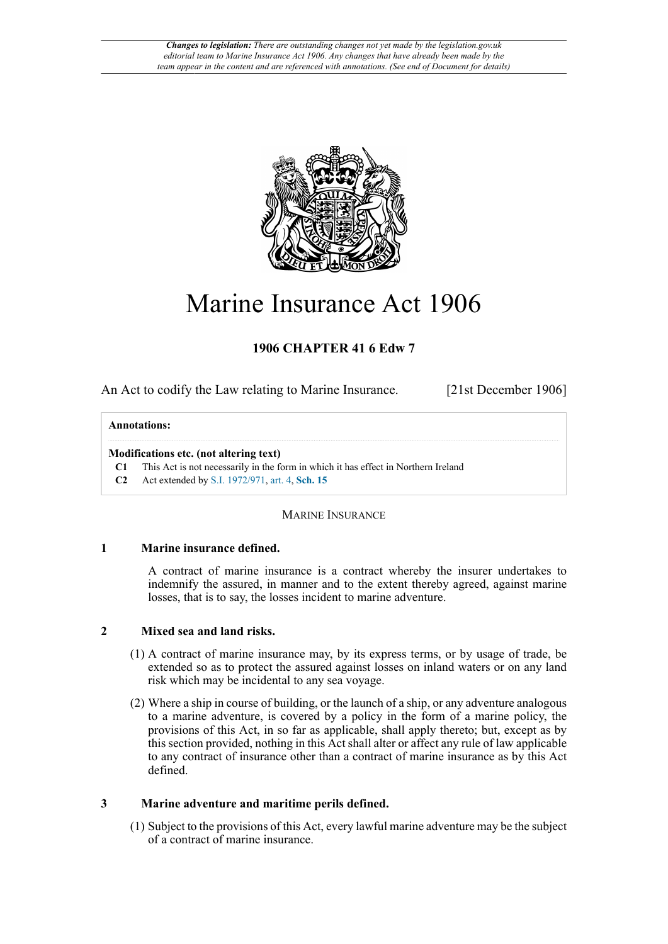

# Marine Insurance Act 1906

### **1906 CHAPTER 41 6 Edw 7**

An Act to codify the Law relating to Marine Insurance. [21st December 1906]

### **Annotations:**

#### **Modifications etc. (not altering text)**

**C1** This Act is not necessarily in the form in which it has effect in Northern Ireland

**C2** Act extended by [S.I. 1972/971,](http://www.legislation.gov.uk/id/uksi/1972/971) [art. 4,](http://www.legislation.gov.uk/id/uksi/1972/971/article/4) **[Sch. 15](http://www.legislation.gov.uk/id/uksi/1972/971/schedule/15)**

MARINE INSURANCE

### **1 Marine insurance defined.**

A contract of marine insurance is a contract whereby the insurer undertakes to indemnify the assured, in manner and to the extent thereby agreed, against marine losses, that is to say, the losses incident to marine adventure.

### **2 Mixed sea and land risks.**

- (1) A contract of marine insurance may, by its express terms, or by usage of trade, be extended so as to protect the assured against losses on inland waters or on any land risk which may be incidental to any sea voyage.
- (2) Where a ship in course of building, or the launch of a ship, or any adventure analogous to a marine adventure, is covered by a policy in the form of a marine policy, the provisions of this Act, in so far as applicable, shall apply thereto; but, except as by this section provided, nothing in this Act shall alter or affect any rule of law applicable to any contract of insurance other than a contract of marine insurance as by this Act defined.

### **3 Marine adventure and maritime perils defined.**

(1) Subject to the provisions of this Act, every lawful marine adventure may be the subject of a contract of marine insurance.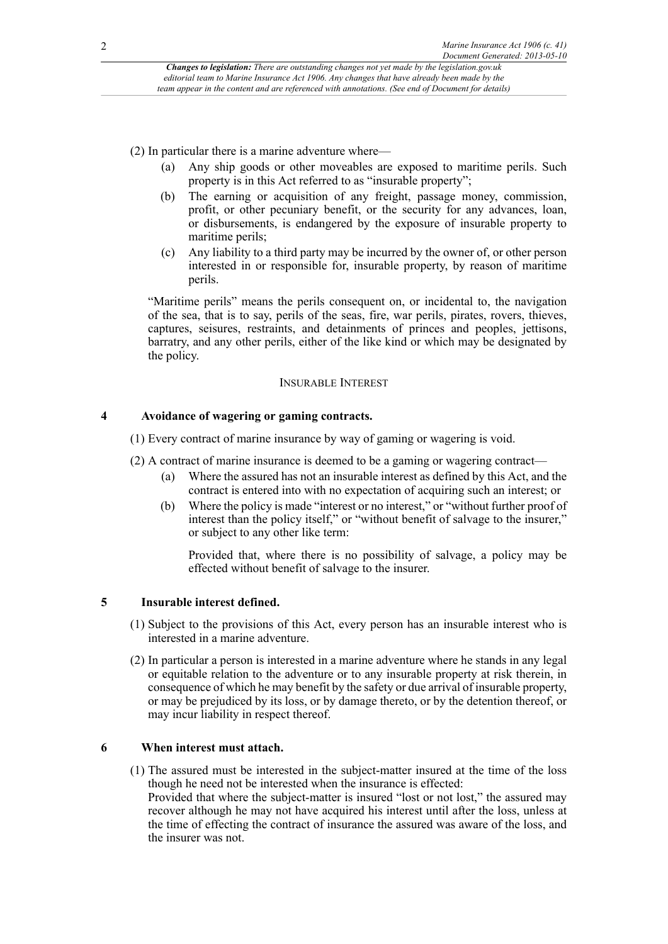(2) In particular there is a marine adventure where—

- (a) Any ship goods or other moveables are exposed to maritime perils. Such property is in this Act referred to as "insurable property";
- (b) The earning or acquisition of any freight, passage money, commission, profit, or other pecuniary benefit, or the security for any advances, loan, or disbursements, is endangered by the exposure of insurable property to maritime perils;
- (c) Any liability to a third party may be incurred by the owner of, or other person interested in or responsible for, insurable property, by reason of maritime perils.

"Maritime perils" means the perils consequent on, or incidental to, the navigation of the sea, that is to say, perils of the seas, fire, war perils, pirates, rovers, thieves, captures, seisures, restraints, and detainments of princes and peoples, jettisons, barratry, and any other perils, either of the like kind or which may be designated by the policy.

### INSURABLE INTEREST

### **4 Avoidance of wagering or gaming contracts.**

(1) Every contract of marine insurance by way of gaming or wagering is void.

- (2) A contract of marine insurance is deemed to be a gaming or wagering contract—
	- (a) Where the assured has not an insurable interest as defined by this Act, and the contract is entered into with no expectation of acquiring such an interest; or
	- (b) Where the policy is made "interest or no interest," or "without further proof of interest than the policy itself," or "without benefit of salvage to the insurer," or subject to any other like term:

Provided that, where there is no possibility of salvage, a policy may be effected without benefit of salvage to the insurer.

### **5 Insurable interest defined.**

- (1) Subject to the provisions of this Act, every person has an insurable interest who is interested in a marine adventure.
- (2) In particular a person is interested in a marine adventure where he stands in any legal or equitable relation to the adventure or to any insurable property at risk therein, in consequence of which he may benefit by the safety or due arrival of insurable property, or may be prejudiced by its loss, or by damage thereto, or by the detention thereof, or may incur liability in respect thereof.

### **6 When interest must attach.**

the insurer was not.

(1) The assured must be interested in the subject-matter insured at the time of the loss though he need not be interested when the insurance is effected: Provided that where the subject-matter is insured "lost or not lost," the assured may recover although he may not have acquired his interest until after the loss, unless at the time of effecting the contract of insurance the assured was aware of the loss, and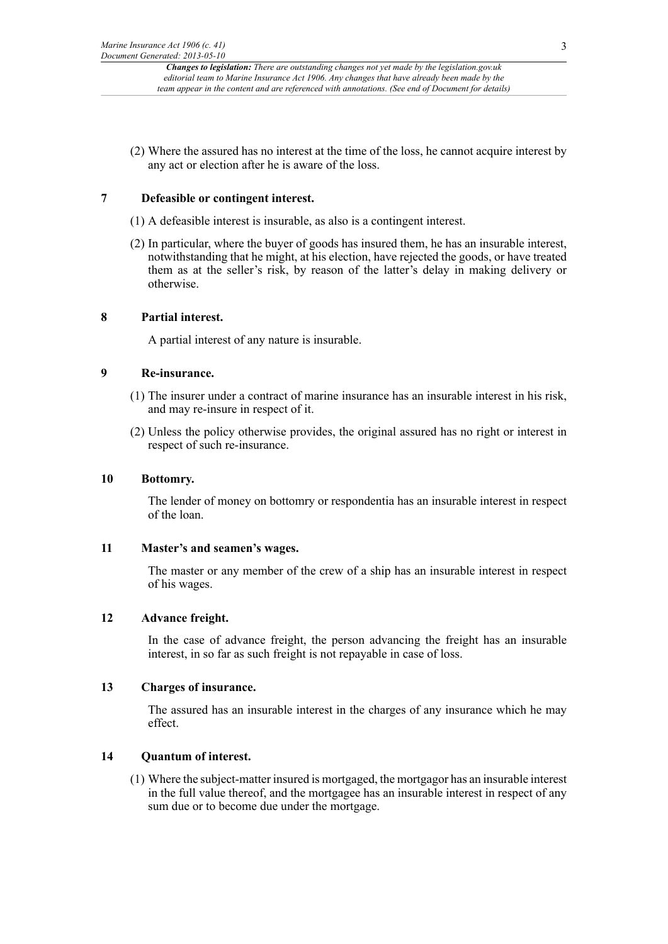(2) Where the assured has no interest at the time of the loss, he cannot acquire interest by any act or election after he is aware of the loss.

### **7 Defeasible or contingent interest.**

- (1) A defeasible interest is insurable, as also is a contingent interest.
- (2) In particular, where the buyer of goods has insured them, he has an insurable interest, notwithstanding that he might, at his election, have rejected the goods, or have treated them as at the seller's risk, by reason of the latter's delay in making delivery or otherwise.

### **8 Partial interest.**

A partial interest of any nature is insurable.

### **9 Re-insurance.**

- (1) The insurer under a contract of marine insurance has an insurable interest in his risk, and may re-insure in respect of it.
- (2) Unless the policy otherwise provides, the original assured has no right or interest in respect of such re-insurance.

### **10 Bottomry.**

The lender of money on bottomry or respondentia has an insurable interest in respect of the loan.

### **11 Master's and seamen's wages.**

The master or any member of the crew of a ship has an insurable interest in respect of his wages.

### **12 Advance freight.**

In the case of advance freight, the person advancing the freight has an insurable interest, in so far as such freight is not repayable in case of loss.

### **13 Charges of insurance.**

The assured has an insurable interest in the charges of any insurance which he may effect.

### **14 Quantum of interest.**

(1) Where the subject-matter insured is mortgaged, the mortgagor has an insurable interest in the full value thereof, and the mortgagee has an insurable interest in respect of any sum due or to become due under the mortgage.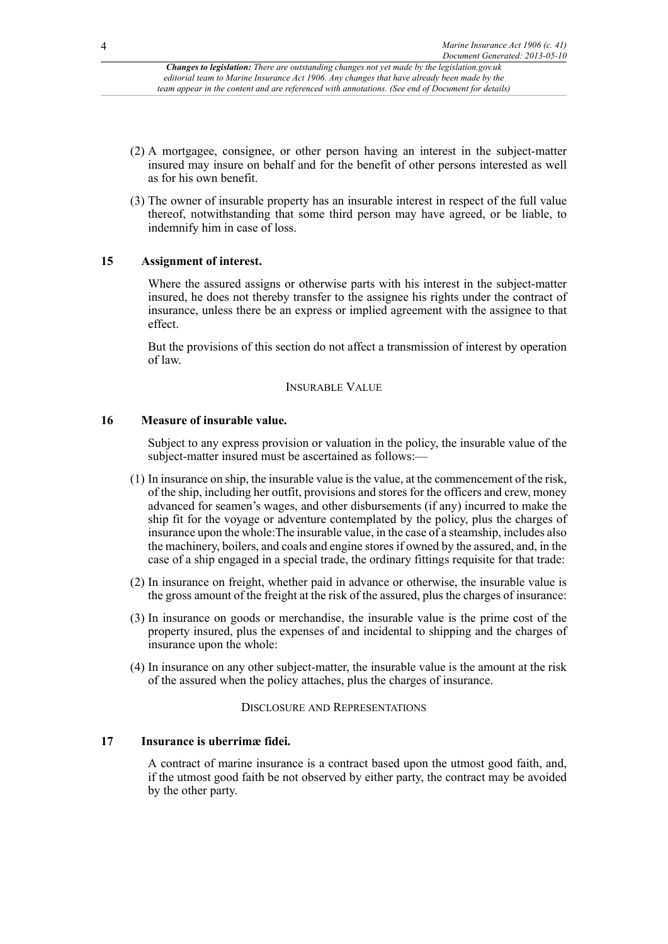- (2) A mortgagee, consignee, or other person having an interest in the subject-matter insured may insure on behalf and for the benefit of other persons interested as well as for his own benefit.
- (3) The owner of insurable property has an insurable interest in respect of the full value thereof, notwithstanding that some third person may have agreed, or be liable, to indemnify him in case of loss.

### **15 Assignment of interest.**

Where the assured assigns or otherwise parts with his interest in the subject-matter insured, he does not thereby transfer to the assignee his rights under the contract of insurance, unless there be an express or implied agreement with the assignee to that effect.

But the provisions of this section do not affect a transmission of interest by operation of law.

#### INSURABLE VALUE

### **16 Measure of insurable value.**

Subject to any express provision or valuation in the policy, the insurable value of the subject-matter insured must be ascertained as follows:—

- (1) In insurance on ship, the insurable value is the value, at the commencement of the risk, of the ship, including her outfit, provisions and stores for the officers and crew, money advanced for seamen's wages, and other disbursements (if any) incurred to make the ship fit for the voyage or adventure contemplated by the policy, plus the charges of insurance upon the whole:The insurable value, in the case of a steamship, includes also the machinery, boilers, and coals and engine stores if owned by the assured, and, in the case of a ship engaged in a special trade, the ordinary fittings requisite for that trade:
- (2) In insurance on freight, whether paid in advance or otherwise, the insurable value is the gross amount of the freight at the risk of the assured, plus the charges of insurance:
- (3) In insurance on goods or merchandise, the insurable value is the prime cost of the property insured, plus the expenses of and incidental to shipping and the charges of insurance upon the whole:
- (4) In insurance on any other subject-matter, the insurable value is the amount at the risk of the assured when the policy attaches, plus the charges of insurance.

#### DISCLOSURE AND REPRESENTATIONS

#### **17 Insurance is uberrimæ fidei.**

A contract of marine insurance is a contract based upon the utmost good faith, and, if the utmost good faith be not observed by either party, the contract may be avoided by the other party.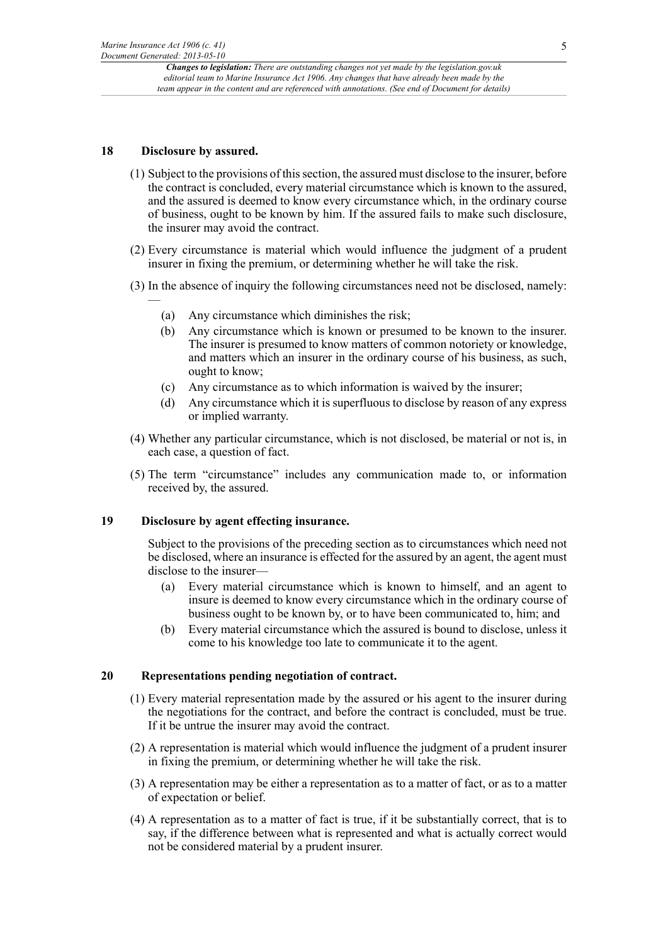### **18 Disclosure by assured.**

- (1) Subject to the provisions of this section, the assured must disclose to the insurer, before the contract is concluded, every material circumstance which is known to the assured, and the assured is deemed to know every circumstance which, in the ordinary course of business, ought to be known by him. If the assured fails to make such disclosure, the insurer may avoid the contract.
- (2) Every circumstance is material which would influence the judgment of a prudent insurer in fixing the premium, or determining whether he will take the risk.
- (3) In the absence of inquiry the following circumstances need not be disclosed, namely: —
	- (a) Any circumstance which diminishes the risk;
	- (b) Any circumstance which is known or presumed to be known to the insurer. The insurer is presumed to know matters of common notoriety or knowledge, and matters which an insurer in the ordinary course of his business, as such, ought to know;
	- (c) Any circumstance as to which information is waived by the insurer;
	- (d) Any circumstance which it is superfluous to disclose by reason of any express or implied warranty.
- (4) Whether any particular circumstance, which is not disclosed, be material or not is, in each case, a question of fact.
- (5) The term "circumstance" includes any communication made to, or information received by, the assured.

### **19 Disclosure by agent effecting insurance.**

Subject to the provisions of the preceding section as to circumstances which need not be disclosed, where an insurance is effected for the assured by an agent, the agent must disclose to the insurer—

- (a) Every material circumstance which is known to himself, and an agent to insure is deemed to know every circumstance which in the ordinary course of business ought to be known by, or to have been communicated to, him; and
- (b) Every material circumstance which the assured is bound to disclose, unless it come to his knowledge too late to communicate it to the agent.

### **20 Representations pending negotiation of contract.**

- (1) Every material representation made by the assured or his agent to the insurer during the negotiations for the contract, and before the contract is concluded, must be true. If it be untrue the insurer may avoid the contract.
- (2) A representation is material which would influence the judgment of a prudent insurer in fixing the premium, or determining whether he will take the risk.
- (3) A representation may be either a representation as to a matter of fact, or as to a matter of expectation or belief.
- (4) A representation as to a matter of fact is true, if it be substantially correct, that is to say, if the difference between what is represented and what is actually correct would not be considered material by a prudent insurer.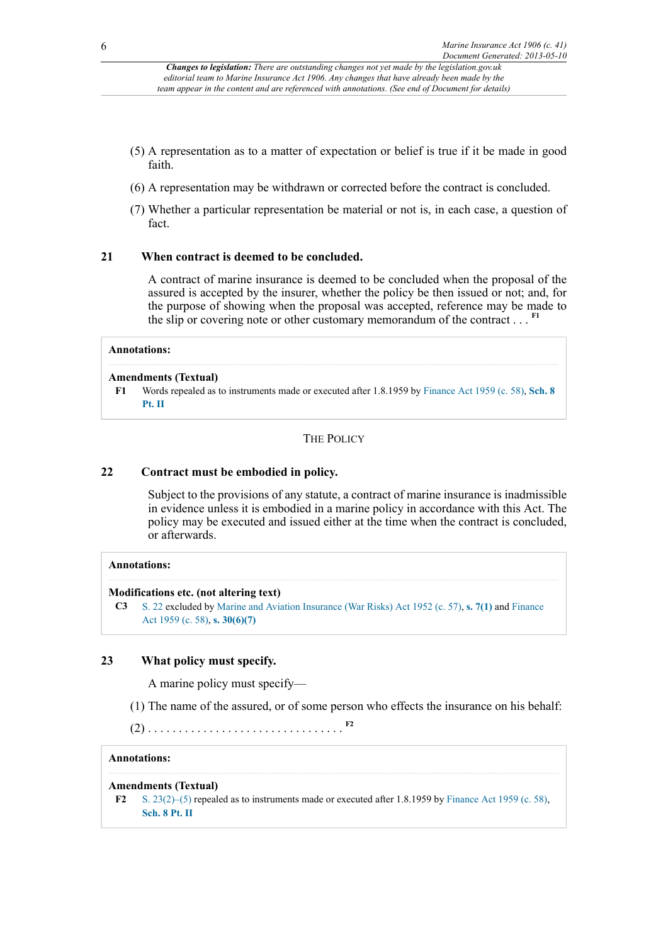- (5) A representation as to a matter of expectation or belief is true if it be made in good faith.
- (6) A representation may be withdrawn or corrected before the contract is concluded.
- (7) Whether a particular representation be material or not is, in each case, a question of fact.

### **21 When contract is deemed to be concluded.**

A contract of marine insurance is deemed to be concluded when the proposal of the assured is accepted by the insurer, whether the policy be then issued or not; and, for the purpose of showing when the proposal was accepted, reference may be made to the slip or covering note or other customary memorandum of the contract . . . **[F1](#page-5-0)**

#### **Annotations:**

#### **Amendments (Textual)**

<span id="page-5-0"></span>**[F1](#page-5-1)** Words repealed as to instruments made or executed after 1.8.1959 by [Finance Act 1959 \(c. 58\)](http://www.legislation.gov.uk/id/ukpga/1959/58), **[Sch. 8](http://www.legislation.gov.uk/id/ukpga/1959/58/schedule/8/part/II) [Pt. II](http://www.legislation.gov.uk/id/ukpga/1959/58/schedule/8/part/II)**

### <span id="page-5-1"></span>THE POLICY

#### **22 Contract must be embodied in policy.**

Subject to the provisions of any statute, a contract of marine insurance is inadmissible in evidence unless it is embodied in a marine policy in accordance with this Act. The policy may be executed and issued either at the time when the contract is concluded, or afterwards.

#### **Annotations:**

#### **Modifications etc. (not altering text)**

**C3** [S. 22](http://www.legislation.gov.uk/id/ukpga/Edw7/6/41/section/22) excluded by [Marine and Aviation Insurance \(War Risks\) Act 1952 \(c. 57\)](http://www.legislation.gov.uk/id/ukpga/1952/57), **[s. 7\(1\)](http://www.legislation.gov.uk/id/ukpga/1952/57/section/7/1)** and [Finance](http://www.legislation.gov.uk/id/ukpga/1959/58) [Act 1959 \(c. 58\),](http://www.legislation.gov.uk/id/ukpga/1959/58) **[s. 30\(6\)\(7\)](http://www.legislation.gov.uk/id/ukpga/1959/58/section/30/6/7)**

#### **23 What policy must specify.**

<span id="page-5-3"></span>A marine policy must specify—

(1) The name of the assured, or of some person who effects the insurance on his behalf:

(2) . . . . . . . . . . . . . . . . . . . . . . . . . . . . . . . . **[F2](#page-5-2)**

#### **Annotations:**

```
Amendments (Textual)
```

```
F2 S. 23(2)–(5) repealed as to instruments made or executed after 1.8.1959 by Finance Act 1959 (c. 58),
Sch. 8 Pt. II
```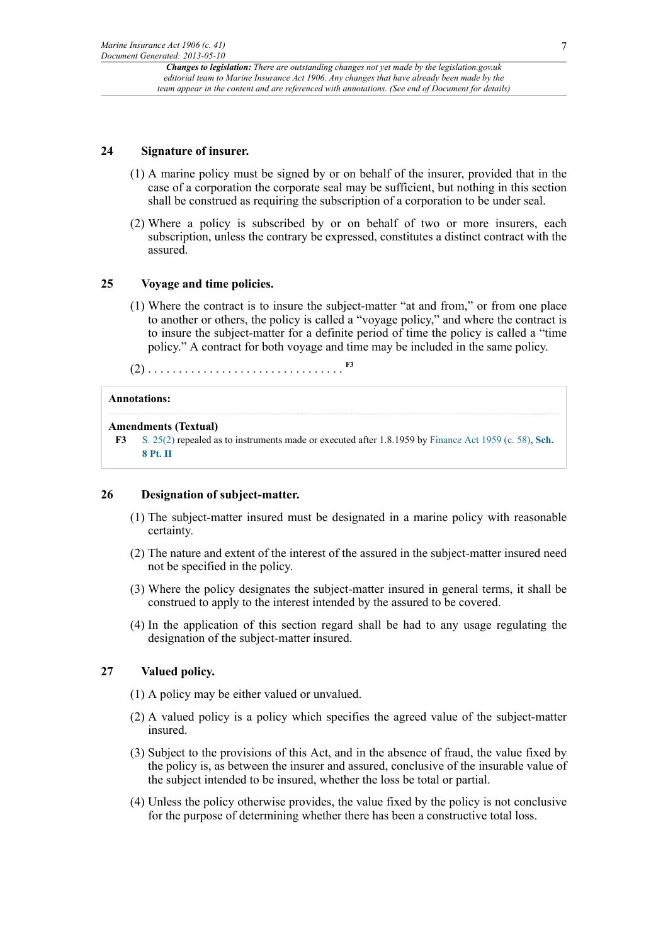### **24 Signature of insurer.**

- (1) A marine policy must be signed by or on behalf of the insurer, provided that in the case of a corporation the corporate seal may be sufficient, but nothing in this section shall be construed as requiring the subscription of a corporation to be under seal.
- (2) Where a policy is subscribed by or on behalf of two or more insurers, each subscription, unless the contrary be expressed, constitutes a distinct contract with the assured.

### **25 Voyage and time policies.**

- (1) Where the contract is to insure the subject-matter "at and from," or from one place to another or others, the policy is called a "voyage policy," and where the contract is to insure the subject-matter for a definite period of time the policy is called a "time policy." A contract for both voyage and time may be included in the same policy.
- <span id="page-6-1"></span>(2) . . . . . . . . . . . . . . . . . . . . . . . . . . . . . . . . **[F3](#page-6-0)**

### **Annotations:**

### **Amendments (Textual)**

<span id="page-6-0"></span>**[F3](#page-6-1)** [S. 25\(2\)](http://www.legislation.gov.uk/id/ukpga/Edw7/6/41/section/25/2) repealed as to instruments made or executed after 1.8.1959 by [Finance Act 1959 \(c. 58\),](http://www.legislation.gov.uk/id/ukpga/1959/58) **[Sch.](http://www.legislation.gov.uk/id/ukpga/1959/58/schedule/8/part/II) [8 Pt. II](http://www.legislation.gov.uk/id/ukpga/1959/58/schedule/8/part/II)**

#### **26 Designation of subject-matter.**

- (1) The subject-matter insured must be designated in a marine policy with reasonable certainty.
- (2) The nature and extent of the interest of the assured in the subject-matter insured need not be specified in the policy.
- (3) Where the policy designates the subject-matter insured in general terms, it shall be construed to apply to the interest intended by the assured to be covered.
- (4) In the application of this section regard shall be had to any usage regulating the designation of the subject-matter insured.

### **27 Valued policy.**

(1) A policy may be either valued or unvalued.

- (2) A valued policy is a policy which specifies the agreed value of the subject-matter insured.
- (3) Subject to the provisions of this Act, and in the absence of fraud, the value fixed by the policy is, as between the insurer and assured, conclusive of the insurable value of the subject intended to be insured, whether the loss be total or partial.
- (4) Unless the policy otherwise provides, the value fixed by the policy is not conclusive for the purpose of determining whether there has been a constructive total loss.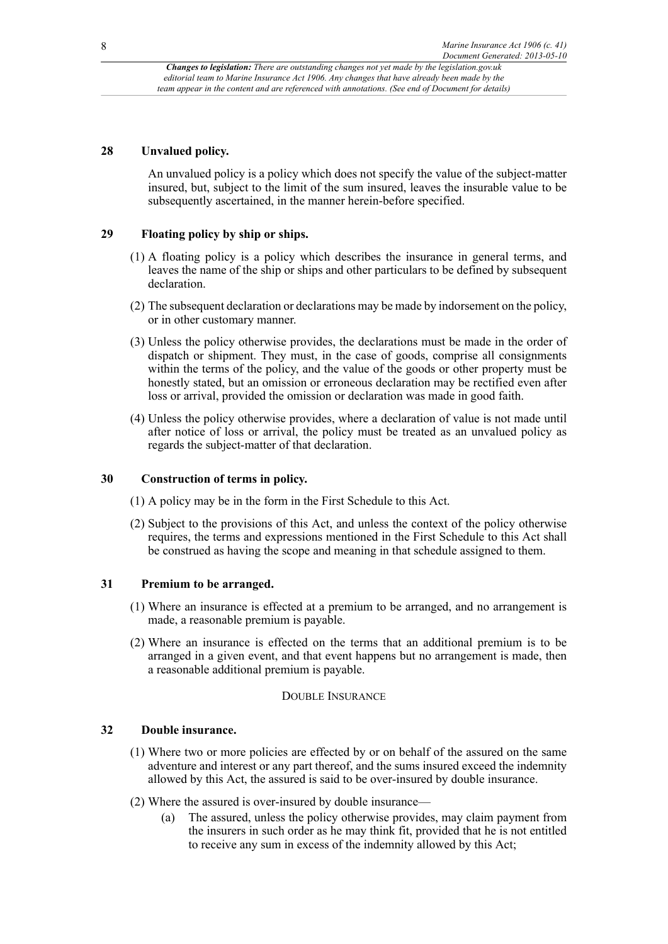### **28 Unvalued policy.**

An unvalued policy is a policy which does not specify the value of the subject-matter insured, but, subject to the limit of the sum insured, leaves the insurable value to be subsequently ascertained, in the manner herein-before specified.

### **29 Floating policy by ship or ships.**

- (1) A floating policy is a policy which describes the insurance in general terms, and leaves the name of the ship or ships and other particulars to be defined by subsequent declaration.
- (2) The subsequent declaration or declarations may be made by indorsement on the policy, or in other customary manner.
- (3) Unless the policy otherwise provides, the declarations must be made in the order of dispatch or shipment. They must, in the case of goods, comprise all consignments within the terms of the policy, and the value of the goods or other property must be honestly stated, but an omission or erroneous declaration may be rectified even after loss or arrival, provided the omission or declaration was made in good faith.
- (4) Unless the policy otherwise provides, where a declaration of value is not made until after notice of loss or arrival, the policy must be treated as an unvalued policy as regards the subject-matter of that declaration.

### **30 Construction of terms in policy.**

- (1) A policy may be in the form in the First Schedule to this Act.
- (2) Subject to the provisions of this Act, and unless the context of the policy otherwise requires, the terms and expressions mentioned in the First Schedule to this Act shall be construed as having the scope and meaning in that schedule assigned to them.

### **31 Premium to be arranged.**

- (1) Where an insurance is effected at a premium to be arranged, and no arrangement is made, a reasonable premium is payable.
- (2) Where an insurance is effected on the terms that an additional premium is to be arranged in a given event, and that event happens but no arrangement is made, then a reasonable additional premium is payable.

### DOUBLE INSURANCE

### **32 Double insurance.**

- (1) Where two or more policies are effected by or on behalf of the assured on the same adventure and interest or any part thereof, and the sums insured exceed the indemnity allowed by this Act, the assured is said to be over-insured by double insurance.
- (2) Where the assured is over-insured by double insurance—
	- (a) The assured, unless the policy otherwise provides, may claim payment from the insurers in such order as he may think fit, provided that he is not entitled to receive any sum in excess of the indemnity allowed by this Act;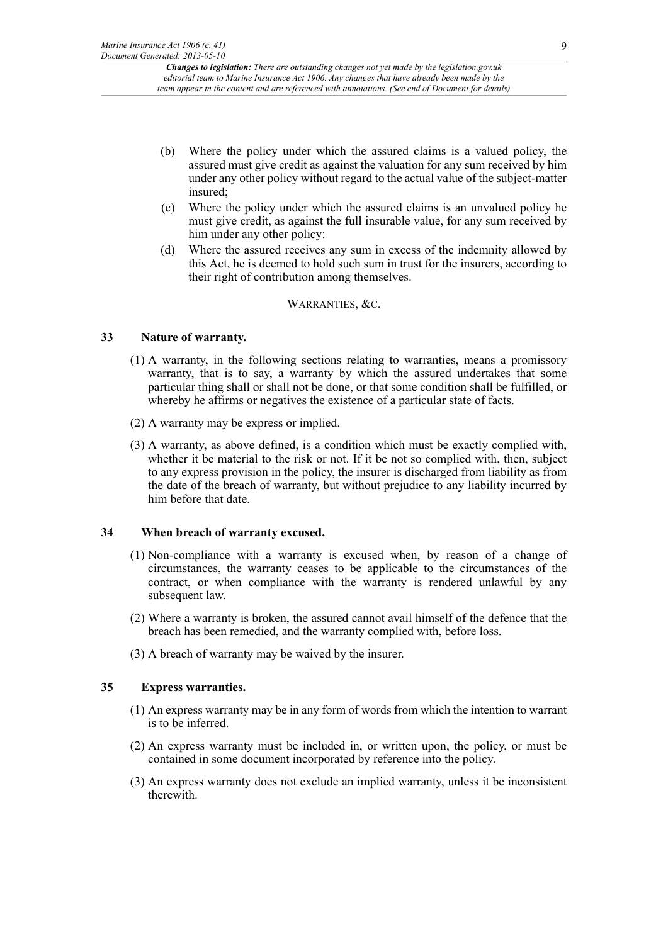- (b) Where the policy under which the assured claims is a valued policy, the assured must give credit as against the valuation for any sum received by him under any other policy without regard to the actual value of the subject-matter insured;
- (c) Where the policy under which the assured claims is an unvalued policy he must give credit, as against the full insurable value, for any sum received by him under any other policy:
- (d) Where the assured receives any sum in excess of the indemnity allowed by this Act, he is deemed to hold such sum in trust for the insurers, according to their right of contribution among themselves.

### WARRANTIES, &C.

### **33 Nature of warranty.**

- (1) A warranty, in the following sections relating to warranties, means a promissory warranty, that is to say, a warranty by which the assured undertakes that some particular thing shall or shall not be done, or that some condition shall be fulfilled, or whereby he affirms or negatives the existence of a particular state of facts.
- (2) A warranty may be express or implied.
- (3) A warranty, as above defined, is a condition which must be exactly complied with, whether it be material to the risk or not. If it be not so complied with, then, subject to any express provision in the policy, the insurer is discharged from liability as from the date of the breach of warranty, but without prejudice to any liability incurred by him before that date.

### **34 When breach of warranty excused.**

- (1) Non-compliance with a warranty is excused when, by reason of a change of circumstances, the warranty ceases to be applicable to the circumstances of the contract, or when compliance with the warranty is rendered unlawful by any subsequent law.
- (2) Where a warranty is broken, the assured cannot avail himself of the defence that the breach has been remedied, and the warranty complied with, before loss.
- (3) A breach of warranty may be waived by the insurer.

### **35 Express warranties.**

- (1) An express warranty may be in any form of words from which the intention to warrant is to be inferred.
- (2) An express warranty must be included in, or written upon, the policy, or must be contained in some document incorporated by reference into the policy.
- (3) An express warranty does not exclude an implied warranty, unless it be inconsistent therewith.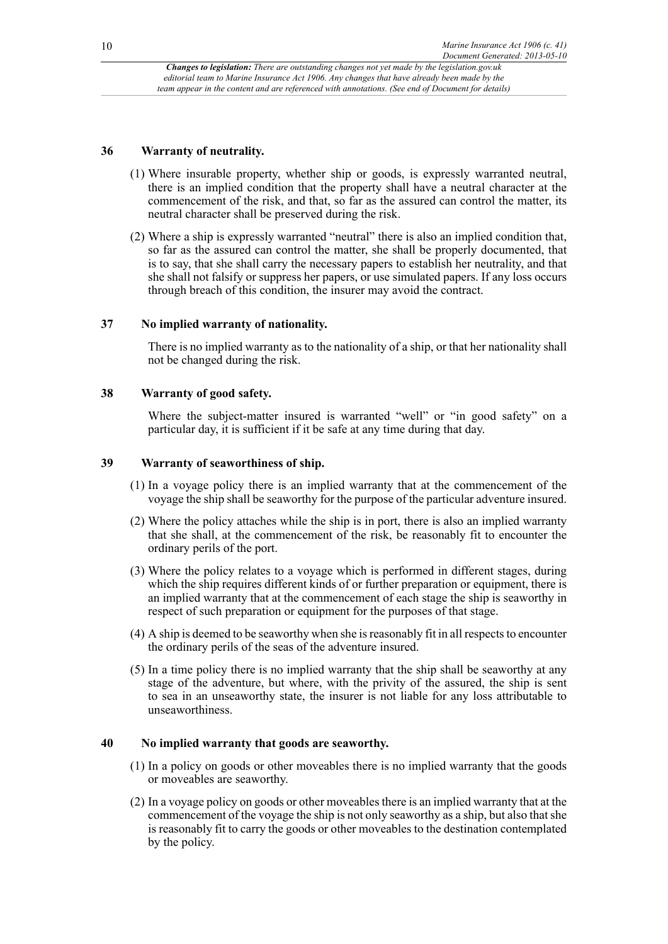### **36 Warranty of neutrality.**

- (1) Where insurable property, whether ship or goods, is expressly warranted neutral, there is an implied condition that the property shall have a neutral character at the commencement of the risk, and that, so far as the assured can control the matter, its neutral character shall be preserved during the risk.
- (2) Where a ship is expressly warranted "neutral" there is also an implied condition that, so far as the assured can control the matter, she shall be properly documented, that is to say, that she shall carry the necessary papers to establish her neutrality, and that she shall not falsify or suppress her papers, or use simulated papers. If any loss occurs through breach of this condition, the insurer may avoid the contract.

#### **37 No implied warranty of nationality.**

There is no implied warranty as to the nationality of a ship, or that her nationality shall not be changed during the risk.

#### **38 Warranty of good safety.**

Where the subject-matter insured is warranted "well" or "in good safety" on a particular day, it is sufficient if it be safe at any time during that day.

### **39 Warranty of seaworthiness of ship.**

- (1) In a voyage policy there is an implied warranty that at the commencement of the voyage the ship shall be seaworthy for the purpose of the particular adventure insured.
- (2) Where the policy attaches while the ship is in port, there is also an implied warranty that she shall, at the commencement of the risk, be reasonably fit to encounter the ordinary perils of the port.
- (3) Where the policy relates to a voyage which is performed in different stages, during which the ship requires different kinds of or further preparation or equipment, there is an implied warranty that at the commencement of each stage the ship is seaworthy in respect of such preparation or equipment for the purposes of that stage.
- (4) A ship is deemed to be seaworthy when she is reasonably fit in all respects to encounter the ordinary perils of the seas of the adventure insured.
- (5) In a time policy there is no implied warranty that the ship shall be seaworthy at any stage of the adventure, but where, with the privity of the assured, the ship is sent to sea in an unseaworthy state, the insurer is not liable for any loss attributable to unseaworthiness.

### **40 No implied warranty that goods are seaworthy.**

- (1) In a policy on goods or other moveables there is no implied warranty that the goods or moveables are seaworthy.
- (2) In a voyage policy on goods or other moveables there is an implied warranty that at the commencement of the voyage the ship is not only seaworthy as a ship, but also that she is reasonably fit to carry the goods or other moveables to the destination contemplated by the policy.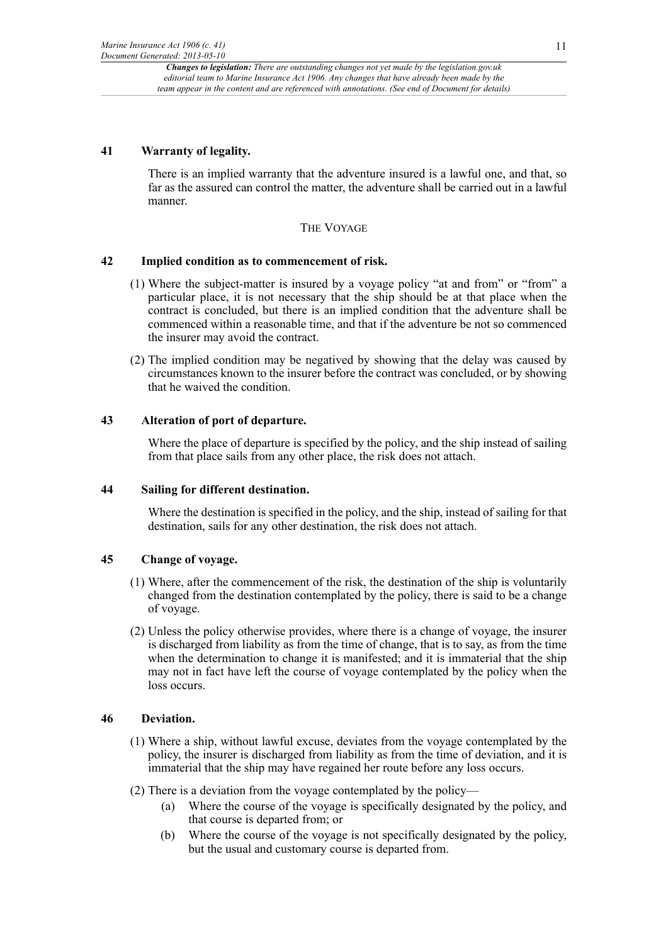### **41 Warranty of legality.**

There is an implied warranty that the adventure insured is a lawful one, and that, so far as the assured can control the matter, the adventure shall be carried out in a lawful manner.

### THE VOYAGE

### **42 Implied condition as to commencement of risk.**

- (1) Where the subject-matter is insured by a voyage policy "at and from" or "from" a particular place, it is not necessary that the ship should be at that place when the contract is concluded, but there is an implied condition that the adventure shall be commenced within a reasonable time, and that if the adventure be not so commenced the insurer may avoid the contract.
- (2) The implied condition may be negatived by showing that the delay was caused by circumstances known to the insurer before the contract was concluded, or by showing that he waived the condition.

### **43 Alteration of port of departure.**

Where the place of departure is specified by the policy, and the ship instead of sailing from that place sails from any other place, the risk does not attach.

### **44 Sailing for different destination.**

Where the destination is specified in the policy, and the ship, instead of sailing for that destination, sails for any other destination, the risk does not attach.

### **45 Change of voyage.**

- (1) Where, after the commencement of the risk, the destination of the ship is voluntarily changed from the destination contemplated by the policy, there is said to be a change of voyage.
- (2) Unless the policy otherwise provides, where there is a change of voyage, the insurer is discharged from liability as from the time of change, that is to say, as from the time when the determination to change it is manifested; and it is immaterial that the ship may not in fact have left the course of voyage contemplated by the policy when the loss occurs.

### **46 Deviation.**

- (1) Where a ship, without lawful excuse, deviates from the voyage contemplated by the policy, the insurer is discharged from liability as from the time of deviation, and it is immaterial that the ship may have regained her route before any loss occurs.
- (2) There is a deviation from the voyage contemplated by the policy—
	- (a) Where the course of the voyage is specifically designated by the policy, and that course is departed from; or
	- (b) Where the course of the voyage is not specifically designated by the policy, but the usual and customary course is departed from.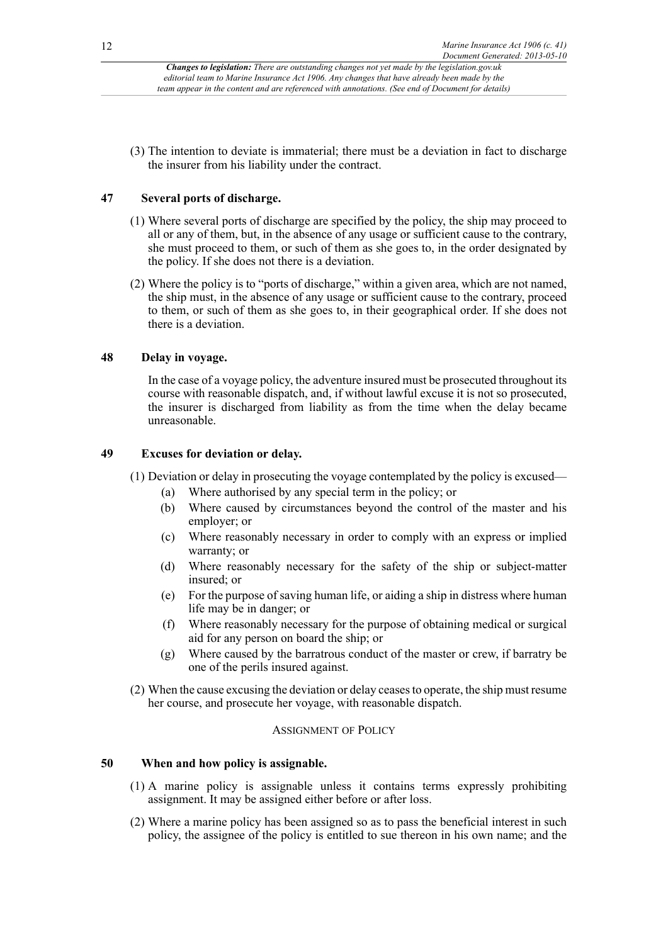(3) The intention to deviate is immaterial; there must be a deviation in fact to discharge the insurer from his liability under the contract.

### **47 Several ports of discharge.**

- (1) Where several ports of discharge are specified by the policy, the ship may proceed to all or any of them, but, in the absence of any usage or sufficient cause to the contrary, she must proceed to them, or such of them as she goes to, in the order designated by the policy. If she does not there is a deviation.
- (2) Where the policy is to "ports of discharge," within a given area, which are not named, the ship must, in the absence of any usage or sufficient cause to the contrary, proceed to them, or such of them as she goes to, in their geographical order. If she does not there is a deviation.

### **48 Delay in voyage.**

In the case of a voyage policy, the adventure insured must be prosecuted throughout its course with reasonable dispatch, and, if without lawful excuse it is not so prosecuted, the insurer is discharged from liability as from the time when the delay became unreasonable.

### **49 Excuses for deviation or delay.**

(1) Deviation or delay in prosecuting the voyage contemplated by the policy is excused—

- (a) Where authorised by any special term in the policy; or
- (b) Where caused by circumstances beyond the control of the master and his employer; or
- (c) Where reasonably necessary in order to comply with an express or implied warranty; or
- (d) Where reasonably necessary for the safety of the ship or subject-matter insured; or
- (e) For the purpose of saving human life, or aiding a ship in distress where human life may be in danger; or
- (f) Where reasonably necessary for the purpose of obtaining medical or surgical aid for any person on board the ship; or
- (g) Where caused by the barratrous conduct of the master or crew, if barratry be one of the perils insured against.
- (2) When the cause excusing the deviation or delay ceases to operate, the ship must resume her course, and prosecute her voyage, with reasonable dispatch.

### ASSIGNMENT OF POLICY

### **50 When and how policy is assignable.**

- (1) A marine policy is assignable unless it contains terms expressly prohibiting assignment. It may be assigned either before or after loss.
- (2) Where a marine policy has been assigned so as to pass the beneficial interest in such policy, the assignee of the policy is entitled to sue thereon in his own name; and the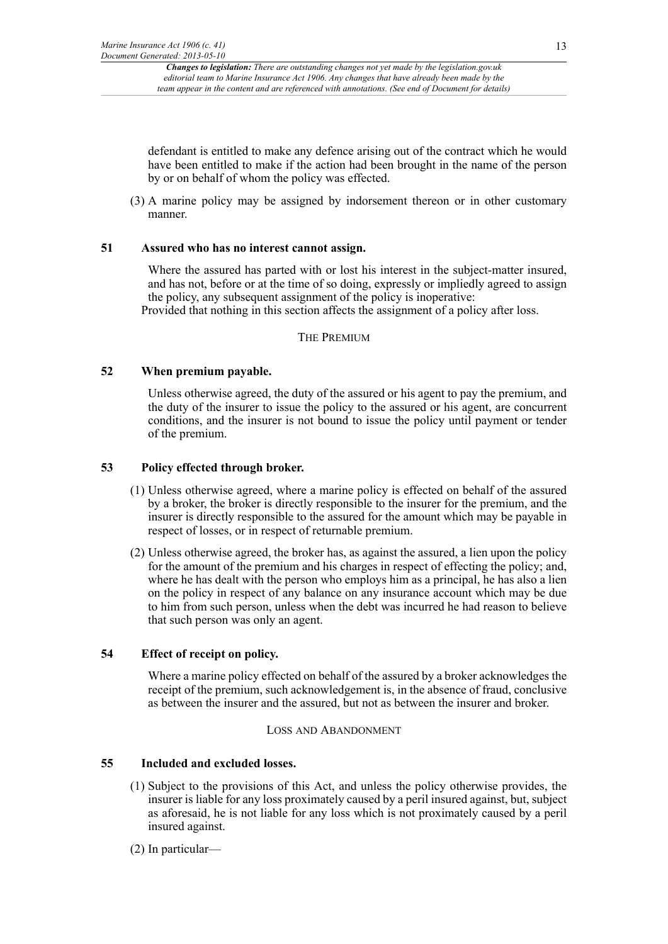defendant is entitled to make any defence arising out of the contract which he would have been entitled to make if the action had been brought in the name of the person by or on behalf of whom the policy was effected.

(3) A marine policy may be assigned by indorsement thereon or in other customary manner.

### **51 Assured who has no interest cannot assign.**

Where the assured has parted with or lost his interest in the subject-matter insured, and has not, before or at the time of so doing, expressly or impliedly agreed to assign the policy, any subsequent assignment of the policy is inoperative:

Provided that nothing in this section affects the assignment of a policy after loss.

### THE PREMIUM

### **52 When premium payable.**

Unless otherwise agreed, the duty of the assured or his agent to pay the premium, and the duty of the insurer to issue the policy to the assured or his agent, are concurrent conditions, and the insurer is not bound to issue the policy until payment or tender of the premium.

### **53 Policy effected through broker.**

- (1) Unless otherwise agreed, where a marine policy is effected on behalf of the assured by a broker, the broker is directly responsible to the insurer for the premium, and the insurer is directly responsible to the assured for the amount which may be payable in respect of losses, or in respect of returnable premium.
- (2) Unless otherwise agreed, the broker has, as against the assured, a lien upon the policy for the amount of the premium and his charges in respect of effecting the policy; and, where he has dealt with the person who employs him as a principal, he has also a lien on the policy in respect of any balance on any insurance account which may be due to him from such person, unless when the debt was incurred he had reason to believe that such person was only an agent.

### **54 Effect of receipt on policy.**

Where a marine policy effected on behalf of the assured by a broker acknowledges the receipt of the premium, such acknowledgement is, in the absence of fraud, conclusive as between the insurer and the assured, but not as between the insurer and broker.

#### LOSS AND ABANDONMENT

### **55 Included and excluded losses.**

- (1) Subject to the provisions of this Act, and unless the policy otherwise provides, the insurer is liable for any loss proximately caused by a peril insured against, but, subject as aforesaid, he is not liable for any loss which is not proximately caused by a peril insured against.
- (2) In particular—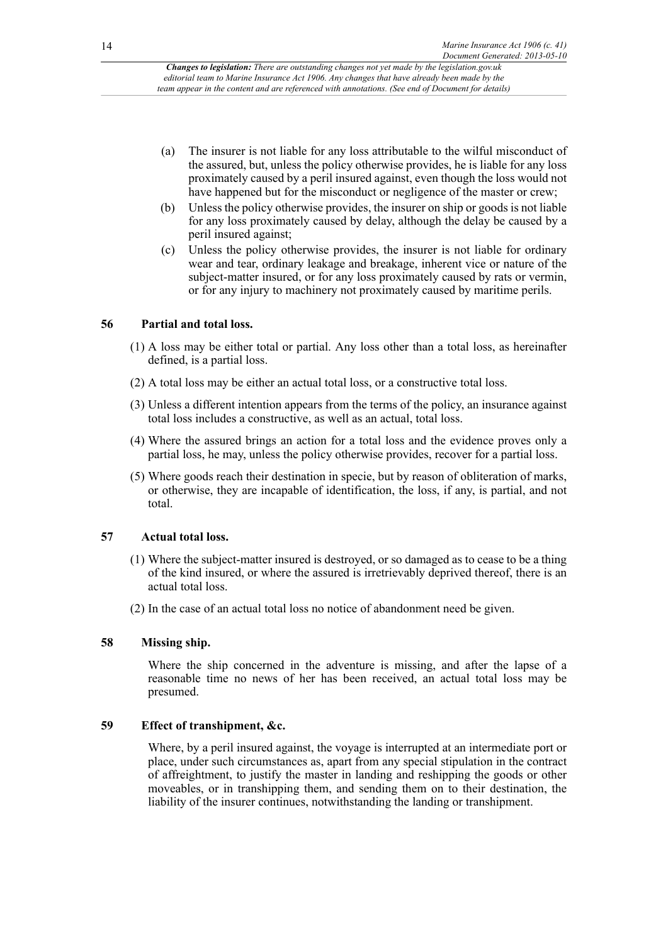- (a) The insurer is not liable for any loss attributable to the wilful misconduct of the assured, but, unless the policy otherwise provides, he is liable for any loss proximately caused by a peril insured against, even though the loss would not have happened but for the misconduct or negligence of the master or crew;
- (b) Unless the policy otherwise provides, the insurer on ship or goods is not liable for any loss proximately caused by delay, although the delay be caused by a peril insured against;
- (c) Unless the policy otherwise provides, the insurer is not liable for ordinary wear and tear, ordinary leakage and breakage, inherent vice or nature of the subject-matter insured, or for any loss proximately caused by rats or vermin, or for any injury to machinery not proximately caused by maritime perils.

### **56 Partial and total loss.**

- (1) A loss may be either total or partial. Any loss other than a total loss, as hereinafter defined, is a partial loss.
- (2) A total loss may be either an actual total loss, or a constructive total loss.
- (3) Unless a different intention appears from the terms of the policy, an insurance against total loss includes a constructive, as well as an actual, total loss.
- (4) Where the assured brings an action for a total loss and the evidence proves only a partial loss, he may, unless the policy otherwise provides, recover for a partial loss.
- (5) Where goods reach their destination in specie, but by reason of obliteration of marks, or otherwise, they are incapable of identification, the loss, if any, is partial, and not total.

### **57 Actual total loss.**

- (1) Where the subject-matter insured is destroyed, or so damaged as to cease to be a thing of the kind insured, or where the assured is irretrievably deprived thereof, there is an actual total loss.
- (2) In the case of an actual total loss no notice of abandonment need be given.

### **58 Missing ship.**

Where the ship concerned in the adventure is missing, and after the lapse of a reasonable time no news of her has been received, an actual total loss may be presumed.

### **59 Effect of transhipment, &c.**

Where, by a peril insured against, the voyage is interrupted at an intermediate port or place, under such circumstances as, apart from any special stipulation in the contract of affreightment, to justify the master in landing and reshipping the goods or other moveables, or in transhipping them, and sending them on to their destination, the liability of the insurer continues, notwithstanding the landing or transhipment.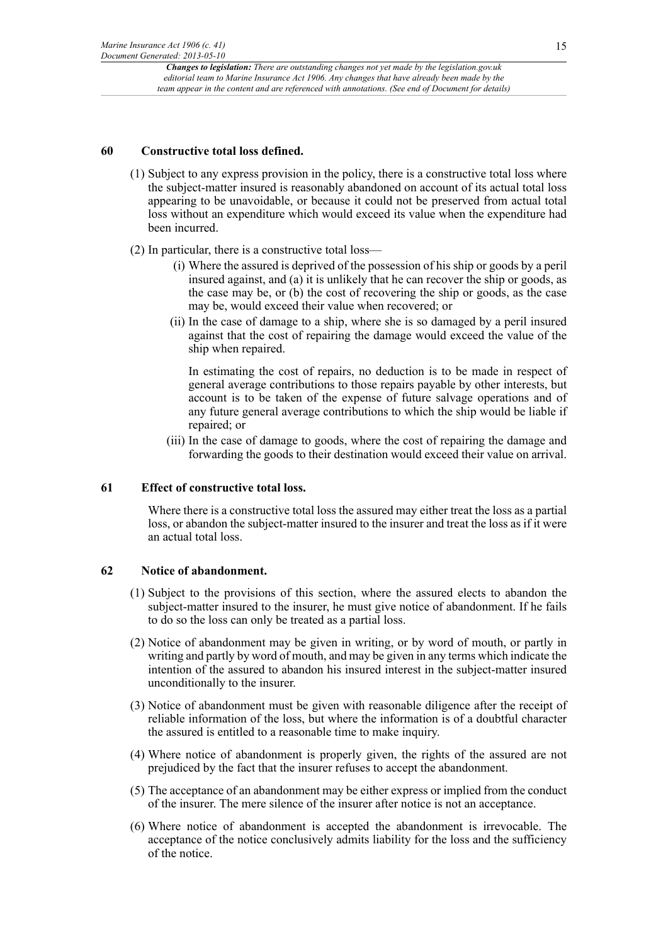### **60 Constructive total loss defined.**

- (1) Subject to any express provision in the policy, there is a constructive total loss where the subject-matter insured is reasonably abandoned on account of its actual total loss appearing to be unavoidable, or because it could not be preserved from actual total loss without an expenditure which would exceed its value when the expenditure had been incurred.
- (2) In particular, there is a constructive total loss—
	- (i) Where the assured is deprived of the possession of his ship or goods by a peril insured against, and (a) it is unlikely that he can recover the ship or goods, as the case may be, or (b) the cost of recovering the ship or goods, as the case may be, would exceed their value when recovered; or
	- (ii) In the case of damage to a ship, where she is so damaged by a peril insured against that the cost of repairing the damage would exceed the value of the ship when repaired.

In estimating the cost of repairs, no deduction is to be made in respect of general average contributions to those repairs payable by other interests, but account is to be taken of the expense of future salvage operations and of any future general average contributions to which the ship would be liable if repaired; or

(iii) In the case of damage to goods, where the cost of repairing the damage and forwarding the goods to their destination would exceed their value on arrival.

### **61 Effect of constructive total loss.**

Where there is a constructive total loss the assured may either treat the loss as a partial loss, or abandon the subject-matter insured to the insurer and treat the loss as if it were an actual total loss.

### **62 Notice of abandonment.**

- (1) Subject to the provisions of this section, where the assured elects to abandon the subject-matter insured to the insurer, he must give notice of abandonment. If he fails to do so the loss can only be treated as a partial loss.
- (2) Notice of abandonment may be given in writing, or by word of mouth, or partly in writing and partly by word of mouth, and may be given in any terms which indicate the intention of the assured to abandon his insured interest in the subject-matter insured unconditionally to the insurer.
- (3) Notice of abandonment must be given with reasonable diligence after the receipt of reliable information of the loss, but where the information is of a doubtful character the assured is entitled to a reasonable time to make inquiry.
- (4) Where notice of abandonment is properly given, the rights of the assured are not prejudiced by the fact that the insurer refuses to accept the abandonment.
- (5) The acceptance of an abandonment may be either express or implied from the conduct of the insurer. The mere silence of the insurer after notice is not an acceptance.
- (6) Where notice of abandonment is accepted the abandonment is irrevocable. The acceptance of the notice conclusively admits liability for the loss and the sufficiency of the notice.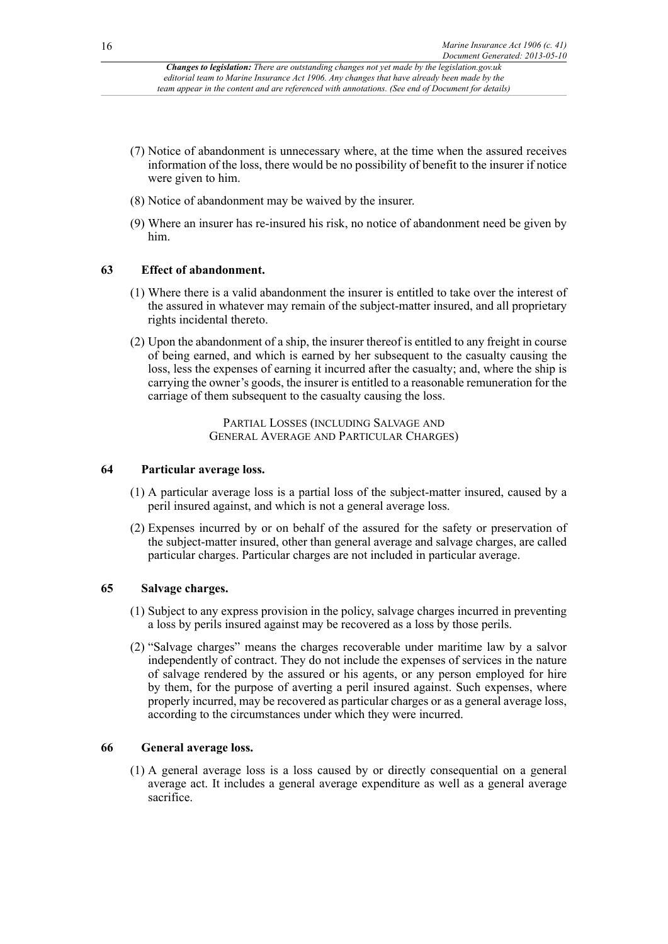- (7) Notice of abandonment is unnecessary where, at the time when the assured receives information of the loss, there would be no possibility of benefit to the insurer if notice were given to him.
- (8) Notice of abandonment may be waived by the insurer.
- (9) Where an insurer has re-insured his risk, no notice of abandonment need be given by him.

### **63 Effect of abandonment.**

- (1) Where there is a valid abandonment the insurer is entitled to take over the interest of the assured in whatever may remain of the subject-matter insured, and all proprietary rights incidental thereto.
- (2) Upon the abandonment of a ship, the insurer thereof is entitled to any freight in course of being earned, and which is earned by her subsequent to the casualty causing the loss, less the expenses of earning it incurred after the casualty; and, where the ship is carrying the owner's goods, the insurer is entitled to a reasonable remuneration for the carriage of them subsequent to the casualty causing the loss.

PARTIAL LOSSES (INCLUDING SALVAGE AND GENERAL AVERAGE AND PARTICULAR CHARGES)

### **64 Particular average loss.**

- (1) A particular average loss is a partial loss of the subject-matter insured, caused by a peril insured against, and which is not a general average loss.
- (2) Expenses incurred by or on behalf of the assured for the safety or preservation of the subject-matter insured, other than general average and salvage charges, are called particular charges. Particular charges are not included in particular average.

### **65 Salvage charges.**

- (1) Subject to any express provision in the policy, salvage charges incurred in preventing a loss by perils insured against may be recovered as a loss by those perils.
- (2) "Salvage charges" means the charges recoverable under maritime law by a salvor independently of contract. They do not include the expenses of services in the nature of salvage rendered by the assured or his agents, or any person employed for hire by them, for the purpose of averting a peril insured against. Such expenses, where properly incurred, may be recovered as particular charges or as a general average loss, according to the circumstances under which they were incurred.

### **66 General average loss.**

(1) A general average loss is a loss caused by or directly consequential on a general average act. It includes a general average expenditure as well as a general average sacrifice.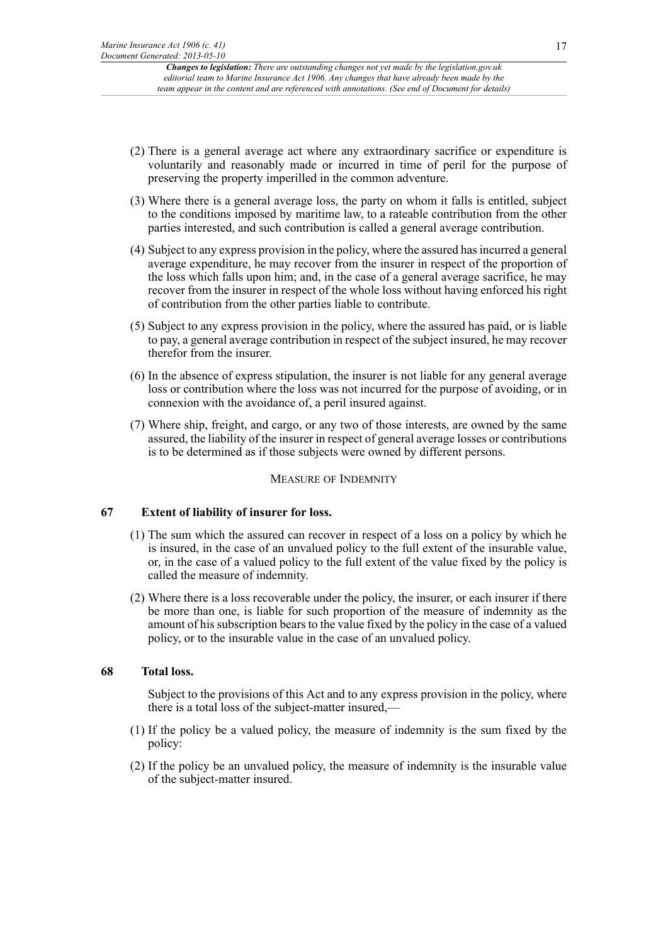- (2) There is a general average act where any extraordinary sacrifice or expenditure is voluntarily and reasonably made or incurred in time of peril for the purpose of preserving the property imperilled in the common adventure.
- (3) Where there is a general average loss, the party on whom it falls is entitled, subject to the conditions imposed by maritime law, to a rateable contribution from the other parties interested, and such contribution is called a general average contribution.
- (4) Subject to any express provision in the policy, where the assured has incurred a general average expenditure, he may recover from the insurer in respect of the proportion of the loss which falls upon him; and, in the case of a general average sacrifice, he may recover from the insurer in respect of the whole loss without having enforced his right of contribution from the other parties liable to contribute.
- (5) Subject to any express provision in the policy, where the assured has paid, or is liable to pay, a general average contribution in respect of the subject insured, he may recover therefor from the insurer.
- (6) In the absence of express stipulation, the insurer is not liable for any general average loss or contribution where the loss was not incurred for the purpose of avoiding, or in connexion with the avoidance of, a peril insured against.
- (7) Where ship, freight, and cargo, or any two of those interests, are owned by the same assured, the liability of the insurer in respect of general average losses or contributions is to be determined as if those subjects were owned by different persons.

### MEASURE OF INDEMNITY

### **67 Extent of liability of insurer for loss.**

- (1) The sum which the assured can recover in respect of a loss on a policy by which he is insured, in the case of an unvalued policy to the full extent of the insurable value, or, in the case of a valued policy to the full extent of the value fixed by the policy is called the measure of indemnity.
- (2) Where there is a loss recoverable under the policy, the insurer, or each insurer if there be more than one, is liable for such proportion of the measure of indemnity as the amount of his subscription bears to the value fixed by the policy in the case of a valued policy, or to the insurable value in the case of an unvalued policy.

### **68 Total loss.**

Subject to the provisions of this Act and to any express provision in the policy, where there is a total loss of the subject-matter insured,—

- (1) If the policy be a valued policy, the measure of indemnity is the sum fixed by the policy:
- (2) If the policy be an unvalued policy, the measure of indemnity is the insurable value of the subject-matter insured.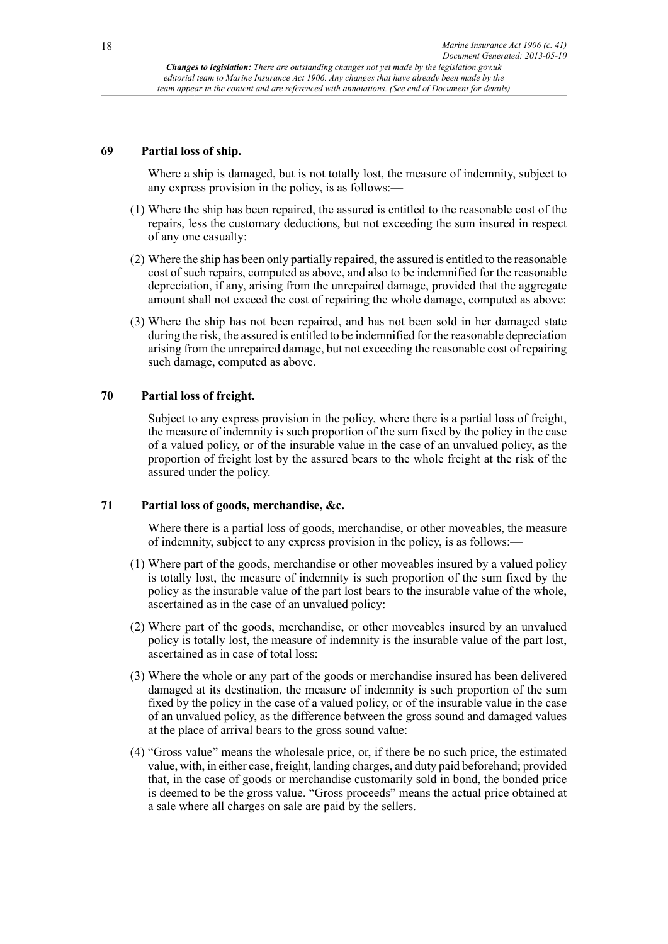#### **69 Partial loss of ship.**

Where a ship is damaged, but is not totally lost, the measure of indemnity, subject to any express provision in the policy, is as follows:—

- (1) Where the ship has been repaired, the assured is entitled to the reasonable cost of the repairs, less the customary deductions, but not exceeding the sum insured in respect of any one casualty:
- (2) Where the ship has been only partially repaired, the assured is entitled to the reasonable cost of such repairs, computed as above, and also to be indemnified for the reasonable depreciation, if any, arising from the unrepaired damage, provided that the aggregate amount shall not exceed the cost of repairing the whole damage, computed as above:
- (3) Where the ship has not been repaired, and has not been sold in her damaged state during the risk, the assured is entitled to be indemnified for the reasonable depreciation arising from the unrepaired damage, but not exceeding the reasonable cost of repairing such damage, computed as above.

### **70 Partial loss of freight.**

Subject to any express provision in the policy, where there is a partial loss of freight, the measure of indemnity is such proportion of the sum fixed by the policy in the case of a valued policy, or of the insurable value in the case of an unvalued policy, as the proportion of freight lost by the assured bears to the whole freight at the risk of the assured under the policy.

#### **71 Partial loss of goods, merchandise, &c.**

Where there is a partial loss of goods, merchandise, or other moveables, the measure of indemnity, subject to any express provision in the policy, is as follows:—

- (1) Where part of the goods, merchandise or other moveables insured by a valued policy is totally lost, the measure of indemnity is such proportion of the sum fixed by the policy as the insurable value of the part lost bears to the insurable value of the whole, ascertained as in the case of an unvalued policy:
- (2) Where part of the goods, merchandise, or other moveables insured by an unvalued policy is totally lost, the measure of indemnity is the insurable value of the part lost, ascertained as in case of total loss:
- (3) Where the whole or any part of the goods or merchandise insured has been delivered damaged at its destination, the measure of indemnity is such proportion of the sum fixed by the policy in the case of a valued policy, or of the insurable value in the case of an unvalued policy, as the difference between the gross sound and damaged values at the place of arrival bears to the gross sound value:
- (4) "Gross value" means the wholesale price, or, if there be no such price, the estimated value, with, in either case, freight, landing charges, and duty paid beforehand; provided that, in the case of goods or merchandise customarily sold in bond, the bonded price is deemed to be the gross value. "Gross proceeds" means the actual price obtained at a sale where all charges on sale are paid by the sellers.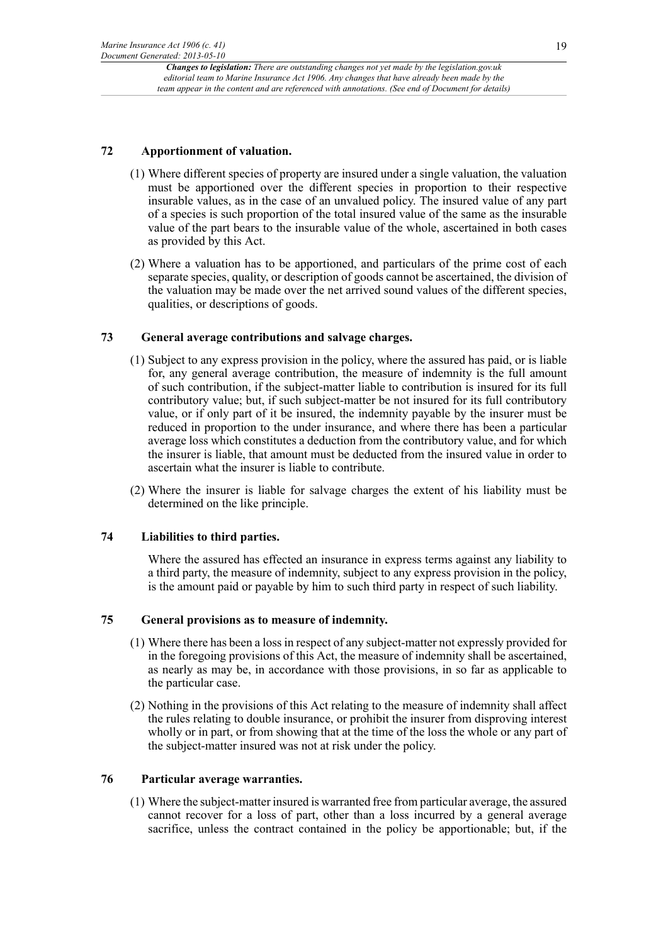### **72 Apportionment of valuation.**

- (1) Where different species of property are insured under a single valuation, the valuation must be apportioned over the different species in proportion to their respective insurable values, as in the case of an unvalued policy. The insured value of any part of a species is such proportion of the total insured value of the same as the insurable value of the part bears to the insurable value of the whole, ascertained in both cases as provided by this Act.
- (2) Where a valuation has to be apportioned, and particulars of the prime cost of each separate species, quality, or description of goods cannot be ascertained, the division of the valuation may be made over the net arrived sound values of the different species, qualities, or descriptions of goods.

### **73 General average contributions and salvage charges.**

- (1) Subject to any express provision in the policy, where the assured has paid, or is liable for, any general average contribution, the measure of indemnity is the full amount of such contribution, if the subject-matter liable to contribution is insured for its full contributory value; but, if such subject-matter be not insured for its full contributory value, or if only part of it be insured, the indemnity payable by the insurer must be reduced in proportion to the under insurance, and where there has been a particular average loss which constitutes a deduction from the contributory value, and for which the insurer is liable, that amount must be deducted from the insured value in order to ascertain what the insurer is liable to contribute.
- (2) Where the insurer is liable for salvage charges the extent of his liability must be determined on the like principle.

### **74 Liabilities to third parties.**

Where the assured has effected an insurance in express terms against any liability to a third party, the measure of indemnity, subject to any express provision in the policy, is the amount paid or payable by him to such third party in respect of such liability.

### **75 General provisions as to measure of indemnity.**

- (1) Where there has been a loss in respect of any subject-matter not expressly provided for in the foregoing provisions of this Act, the measure of indemnity shall be ascertained, as nearly as may be, in accordance with those provisions, in so far as applicable to the particular case.
- (2) Nothing in the provisions of this Act relating to the measure of indemnity shall affect the rules relating to double insurance, or prohibit the insurer from disproving interest wholly or in part, or from showing that at the time of the loss the whole or any part of the subject-matter insured was not at risk under the policy.

### **76 Particular average warranties.**

(1) Where the subject-matter insured is warranted free from particular average, the assured cannot recover for a loss of part, other than a loss incurred by a general average sacrifice, unless the contract contained in the policy be apportionable; but, if the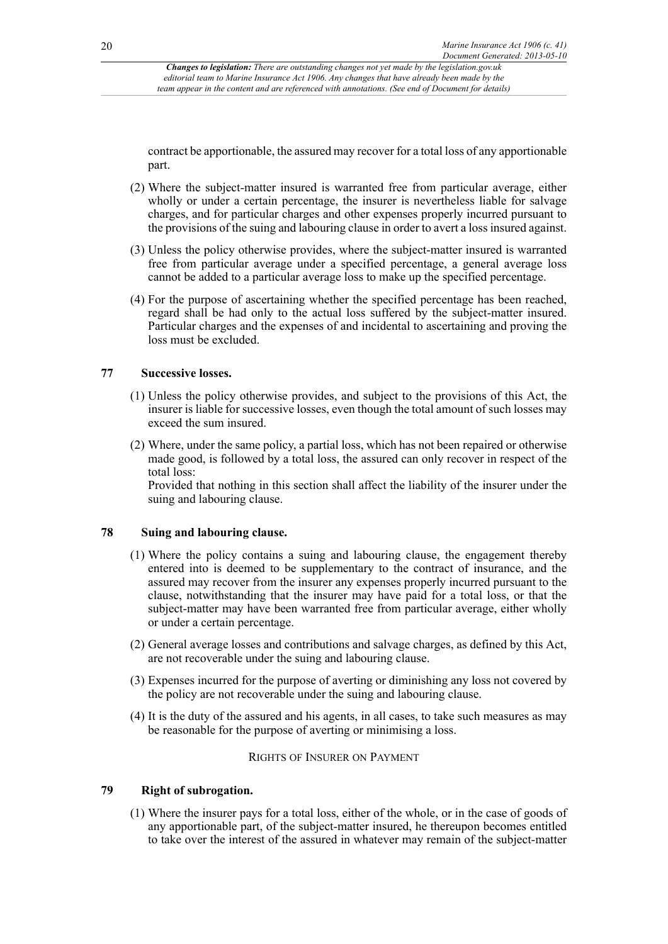contract be apportionable, the assured may recover for a total loss of any apportionable part.

- (2) Where the subject-matter insured is warranted free from particular average, either wholly or under a certain percentage, the insurer is nevertheless liable for salvage charges, and for particular charges and other expenses properly incurred pursuant to the provisions of the suing and labouring clause in order to avert a loss insured against.
- (3) Unless the policy otherwise provides, where the subject-matter insured is warranted free from particular average under a specified percentage, a general average loss cannot be added to a particular average loss to make up the specified percentage.
- (4) For the purpose of ascertaining whether the specified percentage has been reached, regard shall be had only to the actual loss suffered by the subject-matter insured. Particular charges and the expenses of and incidental to ascertaining and proving the loss must be excluded.

### **77 Successive losses.**

- (1) Unless the policy otherwise provides, and subject to the provisions of this Act, the insurer is liable for successive losses, even though the total amount of such losses may exceed the sum insured.
- (2) Where, under the same policy, a partial loss, which has not been repaired or otherwise made good, is followed by a total loss, the assured can only recover in respect of the total loss:

Provided that nothing in this section shall affect the liability of the insurer under the suing and labouring clause.

#### **78 Suing and labouring clause.**

- (1) Where the policy contains a suing and labouring clause, the engagement thereby entered into is deemed to be supplementary to the contract of insurance, and the assured may recover from the insurer any expenses properly incurred pursuant to the clause, notwithstanding that the insurer may have paid for a total loss, or that the subject-matter may have been warranted free from particular average, either wholly or under a certain percentage.
- (2) General average losses and contributions and salvage charges, as defined by this Act, are not recoverable under the suing and labouring clause.
- (3) Expenses incurred for the purpose of averting or diminishing any loss not covered by the policy are not recoverable under the suing and labouring clause.
- (4) It is the duty of the assured and his agents, in all cases, to take such measures as may be reasonable for the purpose of averting or minimising a loss.

### RIGHTS OF INSURER ON PAYMENT

### **79 Right of subrogation.**

(1) Where the insurer pays for a total loss, either of the whole, or in the case of goods of any apportionable part, of the subject-matter insured, he thereupon becomes entitled to take over the interest of the assured in whatever may remain of the subject-matter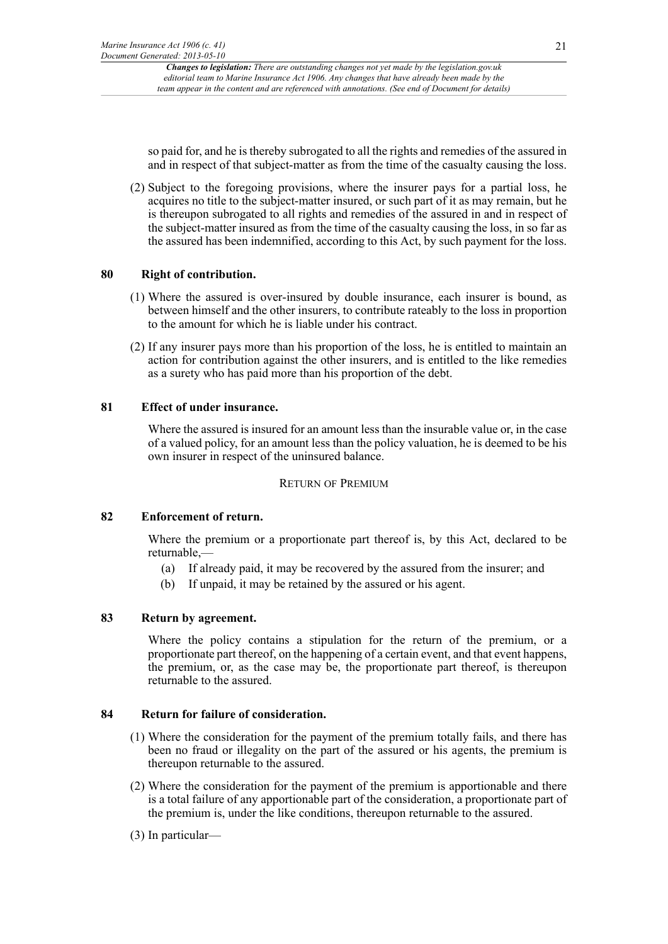so paid for, and he is thereby subrogated to all the rights and remedies of the assured in and in respect of that subject-matter as from the time of the casualty causing the loss.

(2) Subject to the foregoing provisions, where the insurer pays for a partial loss, he acquires no title to the subject-matter insured, or such part of it as may remain, but he is thereupon subrogated to all rights and remedies of the assured in and in respect of the subject-matter insured as from the time of the casualty causing the loss, in so far as the assured has been indemnified, according to this Act, by such payment for the loss.

### **80 Right of contribution.**

- (1) Where the assured is over-insured by double insurance, each insurer is bound, as between himself and the other insurers, to contribute rateably to the loss in proportion to the amount for which he is liable under his contract.
- (2) If any insurer pays more than his proportion of the loss, he is entitled to maintain an action for contribution against the other insurers, and is entitled to the like remedies as a surety who has paid more than his proportion of the debt.

### **81 Effect of under insurance.**

Where the assured is insured for an amount less than the insurable value or, in the case of a valued policy, for an amount less than the policy valuation, he is deemed to be his own insurer in respect of the uninsured balance.

#### RETURN OF PREMIUM

#### **82 Enforcement of return.**

Where the premium or a proportionate part thereof is, by this Act, declared to be returnable,—

- (a) If already paid, it may be recovered by the assured from the insurer; and
- (b) If unpaid, it may be retained by the assured or his agent.

### **83 Return by agreement.**

Where the policy contains a stipulation for the return of the premium, or a proportionate part thereof, on the happening of a certain event, and that event happens, the premium, or, as the case may be, the proportionate part thereof, is thereupon returnable to the assured.

#### **84 Return for failure of consideration.**

- (1) Where the consideration for the payment of the premium totally fails, and there has been no fraud or illegality on the part of the assured or his agents, the premium is thereupon returnable to the assured.
- (2) Where the consideration for the payment of the premium is apportionable and there is a total failure of any apportionable part of the consideration, a proportionate part of the premium is, under the like conditions, thereupon returnable to the assured.
- (3) In particular—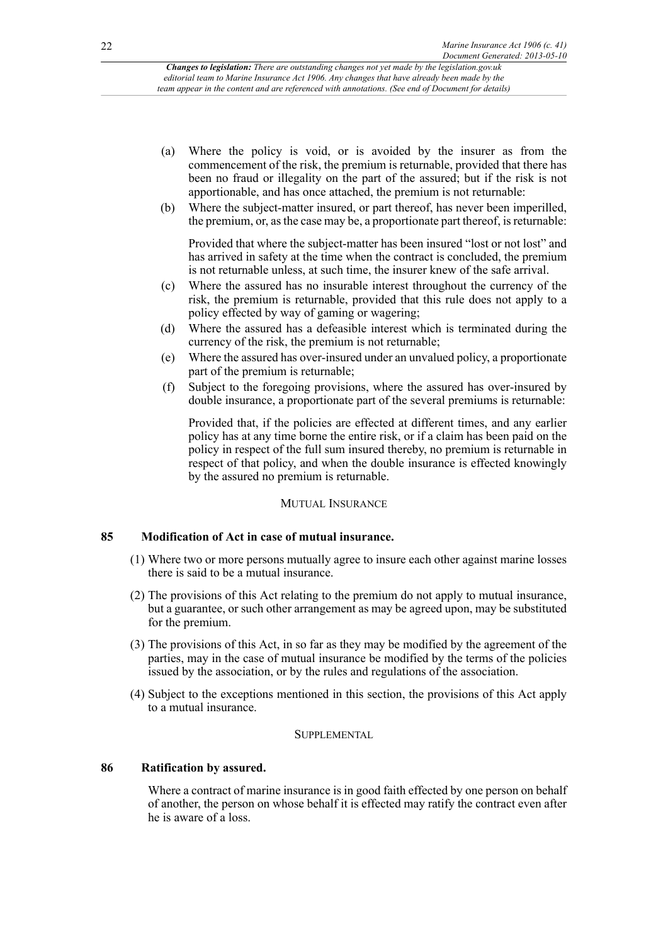- (a) Where the policy is void, or is avoided by the insurer as from the commencement of the risk, the premium is returnable, provided that there has been no fraud or illegality on the part of the assured; but if the risk is not apportionable, and has once attached, the premium is not returnable:
- (b) Where the subject-matter insured, or part thereof, has never been imperilled, the premium, or, as the case may be, a proportionate part thereof, is returnable:

Provided that where the subject-matter has been insured "lost or not lost" and has arrived in safety at the time when the contract is concluded, the premium is not returnable unless, at such time, the insurer knew of the safe arrival.

- (c) Where the assured has no insurable interest throughout the currency of the risk, the premium is returnable, provided that this rule does not apply to a policy effected by way of gaming or wagering;
- (d) Where the assured has a defeasible interest which is terminated during the currency of the risk, the premium is not returnable;
- (e) Where the assured has over-insured under an unvalued policy, a proportionate part of the premium is returnable;
- (f) Subject to the foregoing provisions, where the assured has over-insured by double insurance, a proportionate part of the several premiums is returnable:

Provided that, if the policies are effected at different times, and any earlier policy has at any time borne the entire risk, or if a claim has been paid on the policy in respect of the full sum insured thereby, no premium is returnable in respect of that policy, and when the double insurance is effected knowingly by the assured no premium is returnable.

#### MUTUAL INSURANCE

### **85 Modification of Act in case of mutual insurance.**

- (1) Where two or more persons mutually agree to insure each other against marine losses there is said to be a mutual insurance.
- (2) The provisions of this Act relating to the premium do not apply to mutual insurance, but a guarantee, or such other arrangement as may be agreed upon, may be substituted for the premium.
- (3) The provisions of this Act, in so far as they may be modified by the agreement of the parties, may in the case of mutual insurance be modified by the terms of the policies issued by the association, or by the rules and regulations of the association.
- (4) Subject to the exceptions mentioned in this section, the provisions of this Act apply to a mutual insurance.

#### **SUPPLEMENTAL**

#### **86 Ratification by assured.**

Where a contract of marine insurance is in good faith effected by one person on behalf of another, the person on whose behalf it is effected may ratify the contract even after he is aware of a loss.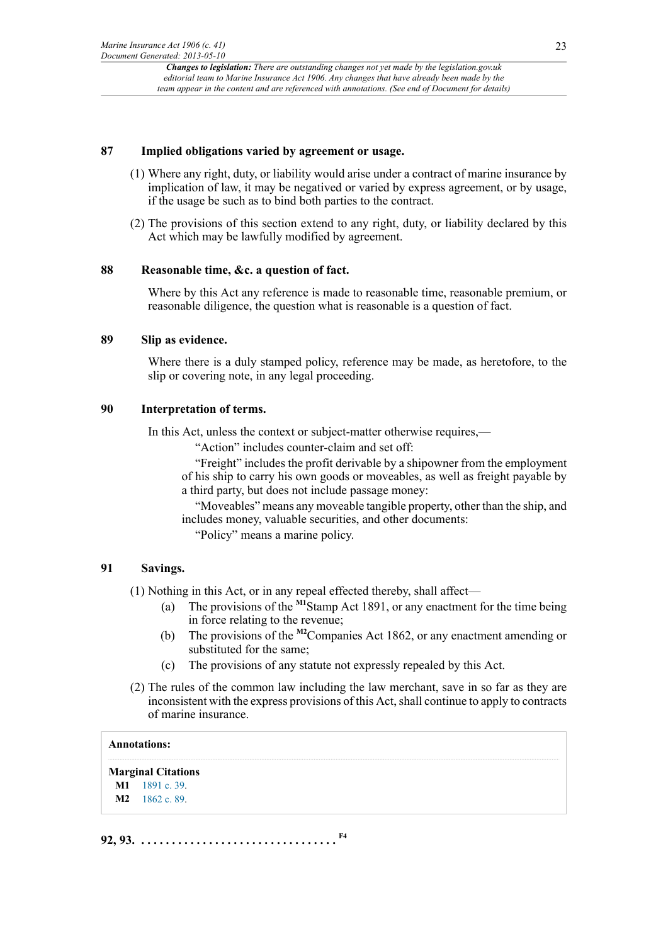### **87 Implied obligations varied by agreement or usage.**

- (1) Where any right, duty, or liability would arise under a contract of marine insurance by implication of law, it may be negatived or varied by express agreement, or by usage, if the usage be such as to bind both parties to the contract.
- (2) The provisions of this section extend to any right, duty, or liability declared by this Act which may be lawfully modified by agreement.

### **88 Reasonable time, &c. a question of fact.**

Where by this Act any reference is made to reasonable time, reasonable premium, or reasonable diligence, the question what is reasonable is a question of fact.

### **89 Slip as evidence.**

Where there is a duly stamped policy, reference may be made, as heretofore, to the slip or covering note, in any legal proceeding.

### **90 Interpretation of terms.**

In this Act, unless the context or subject-matter otherwise requires,—

"Action" includes counter-claim and set off:

"Freight" includes the profit derivable by a shipowner from the employment of his ship to carry his own goods or moveables, as well as freight payable by a third party, but does not include passage money:

"Moveables" means any moveable tangible property, other than the ship, and includes money, valuable securities, and other documents:

<span id="page-22-2"></span>"Policy" means a marine policy.

### **91 Savings.**

(1) Nothing in this Act, or in any repeal effected thereby, shall affect—

- (a) The provisions of the **[M1](#page-22-0)**Stamp Act 1891, or any enactment for the time being in force relating to the revenue;
- <span id="page-22-3"></span>(b) The provisions of the **[M2](#page-22-1)**Companies Act 1862, or any enactment amending or substituted for the same;
- (c) The provisions of any statute not expressly repealed by this Act.
- (2) The rules of the common law including the law merchant, save in so far as they are inconsistent with the express provisions of this Act, shall continue to apply to contracts of marine insurance.

### **Annotations:**

### **Marginal Citations**

<span id="page-22-4"></span><span id="page-22-1"></span><span id="page-22-0"></span>**[M1](#page-22-2)** [1891 c. 39](http://www.legislation.gov.uk/id/ukpga/1891/39). **[M2](#page-22-3)** [1862 c. 89](http://www.legislation.gov.uk/id/ukpga/1862/89).

**92, 93. . . . . . . . . . . . . . . . . . . . . . . . . . . . . . . . . [F4](#page-23-0)**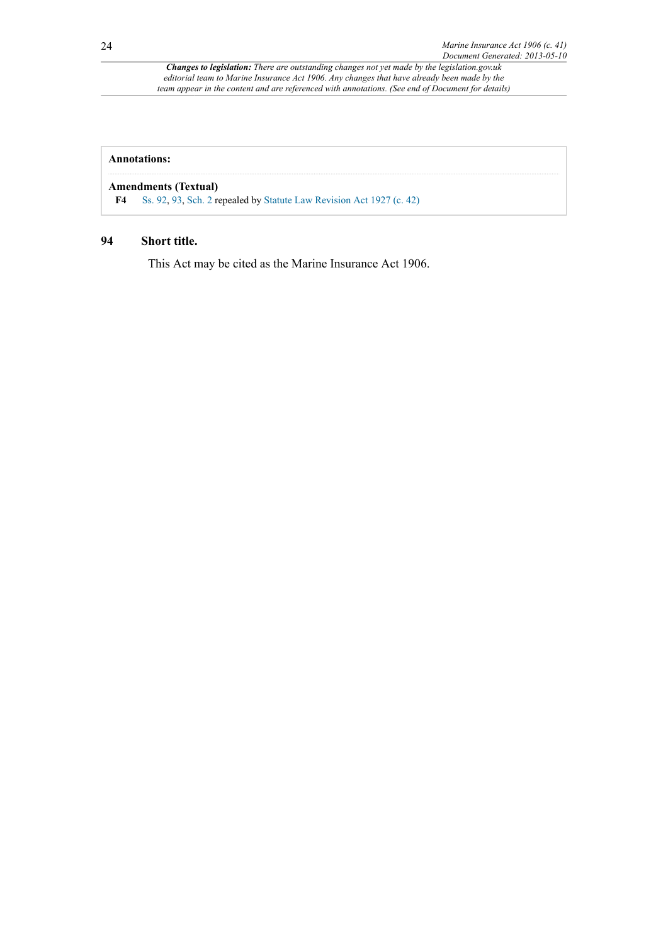### **Annotations:**

#### **Amendments (Textual)**

<span id="page-23-0"></span>**[F4](#page-22-4)** [Ss. 92,](http://www.legislation.gov.uk/id/ukpga/Edw7/6/41/section/92) [93](http://www.legislation.gov.uk/id/ukpga/Edw7/6/41/section/93), [Sch. 2](http://www.legislation.gov.uk/id/ukpga/Edw7/6/41/schedule/2) repealed by [Statute Law Revision Act 1927 \(c. 42\)](http://www.legislation.gov.uk/id/ukpga/1927/42)

### **94 Short title.**

This Act may be cited as the Marine Insurance Act 1906.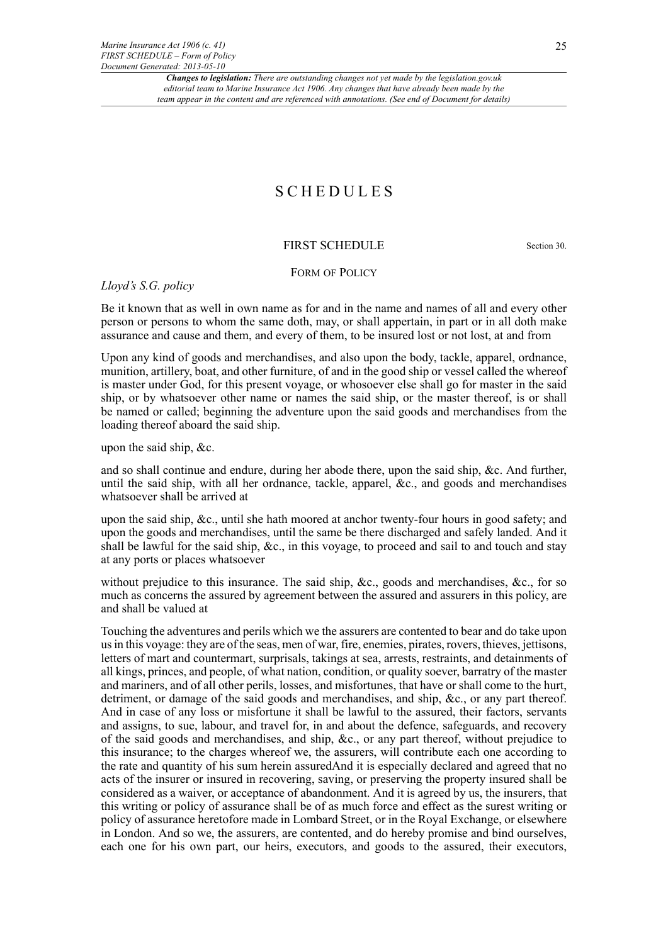*Marine Insurance Act 1906 (c. 41) FIRST SCHEDULE – Form of Policy Document Generated: 2013-05-10*

> *Changes to legislation: There are outstanding changes not yet made by the legislation.gov.uk editorial team to Marine Insurance Act 1906. Any changes that have already been made by the team appear in the content and are referenced with annotations. (See end of Document for details)*

### SCHEDULES

#### FIRST SCHEDULE Section 30.

#### FORM OF POLICY

*Lloyd's S.G. policy*

Be it known that as well in own name as for and in the name and names of all and every other person or persons to whom the same doth, may, or shall appertain, in part or in all doth make assurance and cause and them, and every of them, to be insured lost or not lost, at and from

Upon any kind of goods and merchandises, and also upon the body, tackle, apparel, ordnance, munition, artillery, boat, and other furniture, of and in the good ship or vessel called the whereof is master under God, for this present voyage, or whosoever else shall go for master in the said ship, or by whatsoever other name or names the said ship, or the master thereof, is or shall be named or called; beginning the adventure upon the said goods and merchandises from the loading thereof aboard the said ship.

upon the said ship, &c.

and so shall continue and endure, during her abode there, upon the said ship, &c. And further, until the said ship, with all her ordnance, tackle, apparel, &c., and goods and merchandises whatsoever shall be arrived at

upon the said ship, &c., until she hath moored at anchor twenty-four hours in good safety; and upon the goods and merchandises, until the same be there discharged and safely landed. And it shall be lawful for the said ship, &c., in this voyage, to proceed and sail to and touch and stay at any ports or places whatsoever

without prejudice to this insurance. The said ship, &c., goods and merchandises, &c., for so much as concerns the assured by agreement between the assured and assurers in this policy, are and shall be valued at

Touching the adventures and perils which we the assurers are contented to bear and do take upon us in this voyage: they are of the seas, men of war, fire, enemies, pirates, rovers, thieves, jettisons, letters of mart and countermart, surprisals, takings at sea, arrests, restraints, and detainments of all kings, princes, and people, of what nation, condition, or quality soever, barratry of the master and mariners, and of all other perils, losses, and misfortunes, that have or shall come to the hurt, detriment, or damage of the said goods and merchandises, and ship, &c., or any part thereof. And in case of any loss or misfortune it shall be lawful to the assured, their factors, servants and assigns, to sue, labour, and travel for, in and about the defence, safeguards, and recovery of the said goods and merchandises, and ship, &c., or any part thereof, without prejudice to this insurance; to the charges whereof we, the assurers, will contribute each one according to the rate and quantity of his sum herein assuredAnd it is especially declared and agreed that no acts of the insurer or insured in recovering, saving, or preserving the property insured shall be considered as a waiver, or acceptance of abandonment. And it is agreed by us, the insurers, that this writing or policy of assurance shall be of as much force and effect as the surest writing or policy of assurance heretofore made in Lombard Street, or in the Royal Exchange, or elsewhere in London. And so we, the assurers, are contented, and do hereby promise and bind ourselves, each one for his own part, our heirs, executors, and goods to the assured, their executors,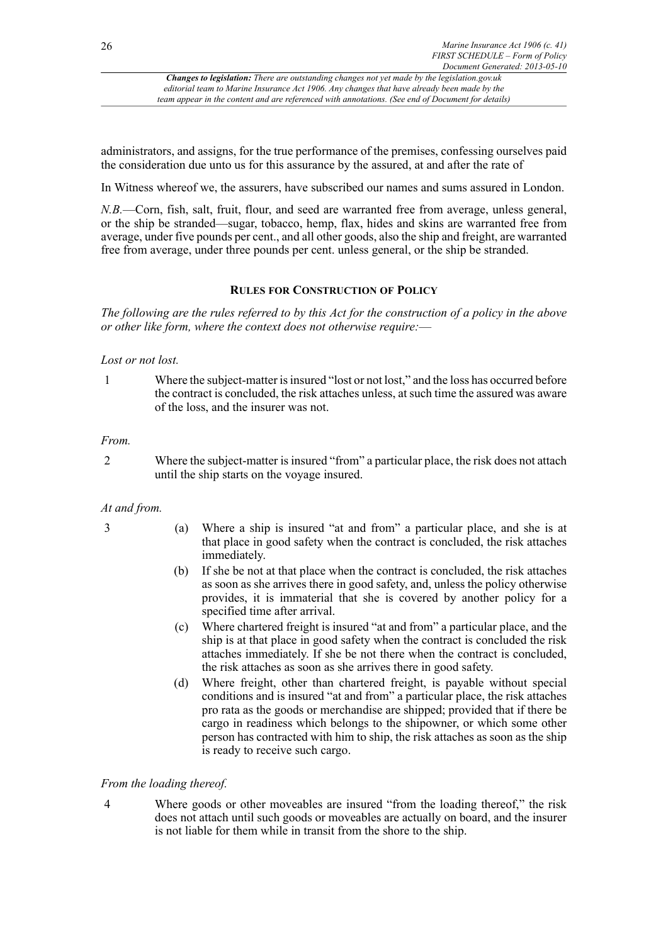administrators, and assigns, for the true performance of the premises, confessing ourselves paid the consideration due unto us for this assurance by the assured, at and after the rate of

In Witness whereof we, the assurers, have subscribed our names and sums assured in London.

*N.B.*—Corn, fish, salt, fruit, flour, and seed are warranted free from average, unless general, or the ship be stranded—sugar, tobacco, hemp, flax, hides and skins are warranted free from average, under five pounds per cent., and all other goods, also the ship and freight, are warranted free from average, under three pounds per cent. unless general, or the ship be stranded.

### **RULES FOR CONSTRUCTION OF POLICY**

*The following are the rules referred to by this Act for the construction of a policy in the above or other like form, where the context does not otherwise require:*—

### *Lost or not lost.*

1 Where the subject-matter is insured "lost or not lost," and the loss has occurred before the contract is concluded, the risk attaches unless, at such time the assured was aware of the loss, and the insurer was not.

### *From.*

2 Where the subject-matter is insured "from" a particular place, the risk does not attach until the ship starts on the voyage insured.

### *At and from.*

- 
- 3 (a) Where a ship is insured "at and from" a particular place, and she is at that place in good safety when the contract is concluded, the risk attaches immediately.
	- (b) If she be not at that place when the contract is concluded, the risk attaches as soon as she arrives there in good safety, and, unless the policy otherwise provides, it is immaterial that she is covered by another policy for a specified time after arrival.
	- (c) Where chartered freight is insured "at and from" a particular place, and the ship is at that place in good safety when the contract is concluded the risk attaches immediately. If she be not there when the contract is concluded, the risk attaches as soon as she arrives there in good safety.
	- (d) Where freight, other than chartered freight, is payable without special conditions and is insured "at and from" a particular place, the risk attaches pro rata as the goods or merchandise are shipped; provided that if there be cargo in readiness which belongs to the shipowner, or which some other person has contracted with him to ship, the risk attaches as soon as the ship is ready to receive such cargo.

#### *From the loading thereof.*

4 Where goods or other moveables are insured "from the loading thereof," the risk does not attach until such goods or moveables are actually on board, and the insurer is not liable for them while in transit from the shore to the ship.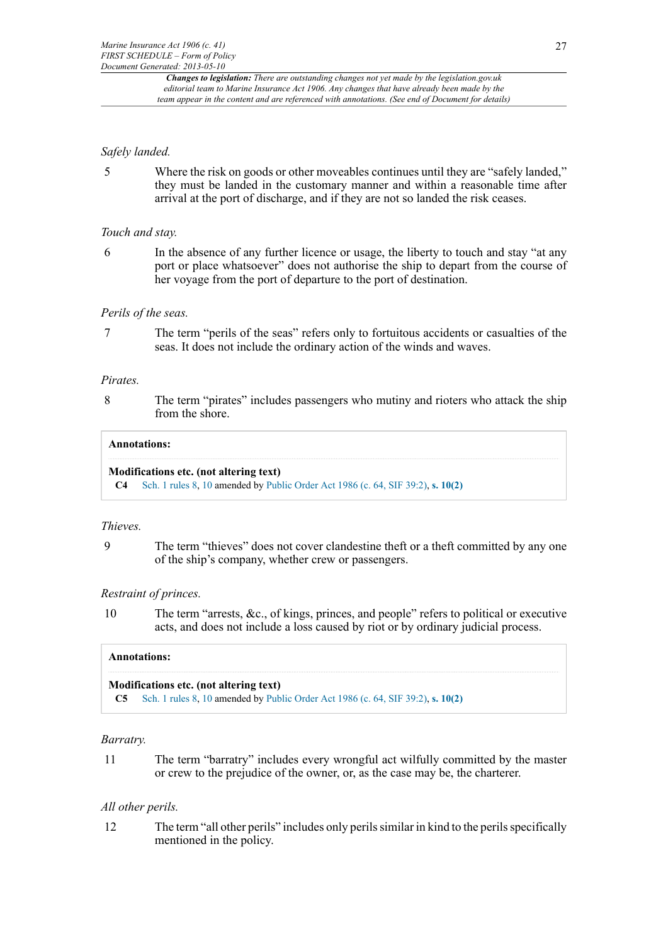#### *Safely landed.*

5 Where the risk on goods or other moveables continues until they are "safely landed," they must be landed in the customary manner and within a reasonable time after arrival at the port of discharge, and if they are not so landed the risk ceases.

#### *Touch and stay.*

6 In the absence of any further licence or usage, the liberty to touch and stay "at any port or place whatsoever" does not authorise the ship to depart from the course of her voyage from the port of departure to the port of destination.

#### *Perils of the seas.*

7 The term "perils of the seas" refers only to fortuitous accidents or casualties of the seas. It does not include the ordinary action of the winds and waves.

#### *Pirates.*

8 The term "pirates" includes passengers who mutiny and rioters who attack the ship from the shore.

#### **Annotations:**

**Modifications etc. (not altering text)**

**C4** [Sch. 1 rules 8,](http://www.legislation.gov.uk/id/ukpga/Edw7/6/41/schedule/1/rule/8) [10](http://www.legislation.gov.uk/id/ukpga/Edw7/6/41/schedule/1/rule/10) amended by [Public Order Act 1986 \(c. 64, SIF 39:2\),](http://www.legislation.gov.uk/id/ukpga/1986/64) **[s. 10\(2\)](http://www.legislation.gov.uk/id/ukpga/1986/64/section/10/2)**

#### *Thieves.*

9 The term "thieves" does not cover clandestine theft or a theft committed by any one of the ship's company, whether crew or passengers.

#### *Restraint of princes.*

10 The term "arrests, &c., of kings, princes, and people" refers to political or executive acts, and does not include a loss caused by riot or by ordinary judicial process.

#### **Annotations:**

#### **Modifications etc. (not altering text)**

**C5** [Sch. 1 rules 8,](http://www.legislation.gov.uk/id/ukpga/Edw7/6/41/schedule/1/rule/8) [10](http://www.legislation.gov.uk/id/ukpga/Edw7/6/41/schedule/1/rule/10) amended by [Public Order Act 1986 \(c. 64, SIF 39:2\),](http://www.legislation.gov.uk/id/ukpga/1986/64) **[s. 10\(2\)](http://www.legislation.gov.uk/id/ukpga/1986/64/section/10/2)**

#### *Barratry.*

11 The term "barratry" includes every wrongful act wilfully committed by the master or crew to the prejudice of the owner, or, as the case may be, the charterer.

#### *All other perils.*

12 The term "all other perils" includes only perils similar in kind to the perils specifically mentioned in the policy.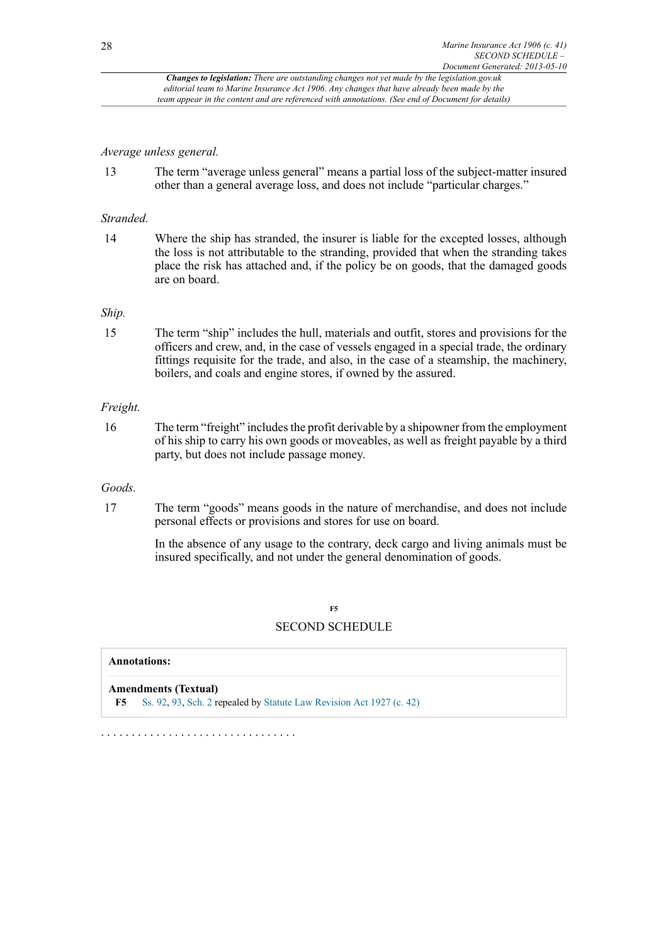#### *Average unless general.*

13 The term "average unless general" means a partial loss of the subject-matter insured other than a general average loss, and does not include "particular charges."

#### *Stranded.*

14 Where the ship has stranded, the insurer is liable for the excepted losses, although the loss is not attributable to the stranding, provided that when the stranding takes place the risk has attached and, if the policy be on goods, that the damaged goods are on board.

### *Ship.*

15 The term "ship" includes the hull, materials and outfit, stores and provisions for the officers and crew, and, in the case of vessels engaged in a special trade, the ordinary fittings requisite for the trade, and also, in the case of a steamship, the machinery, boilers, and coals and engine stores, if owned by the assured.

#### *Freight.*

16 The term "freight" includes the profit derivable by a shipowner from the employment of his ship to carry his own goods or moveables, as well as freight payable by a third party, but does not include passage money.

#### *Goods.*

17 The term "goods" means goods in the nature of merchandise, and does not include personal effects or provisions and stores for use on board.

> In the absence of any usage to the contrary, deck cargo and living animals must be insured specifically, and not under the general denomination of goods.

### <span id="page-27-1"></span>**[F5](#page-27-0)** SECOND SCHEDULE

## **Annotations: Amendments (Textual) [F5](#page-27-1)** [Ss. 92,](http://www.legislation.gov.uk/id/ukpga/Edw7/6/41/section/92) [93](http://www.legislation.gov.uk/id/ukpga/Edw7/6/41/section/93), [Sch. 2](http://www.legislation.gov.uk/id/ukpga/Edw7/6/41/schedule/2) repealed by [Statute Law Revision Act 1927 \(c. 42\)](http://www.legislation.gov.uk/id/ukpga/1927/42)

<span id="page-27-0"></span>